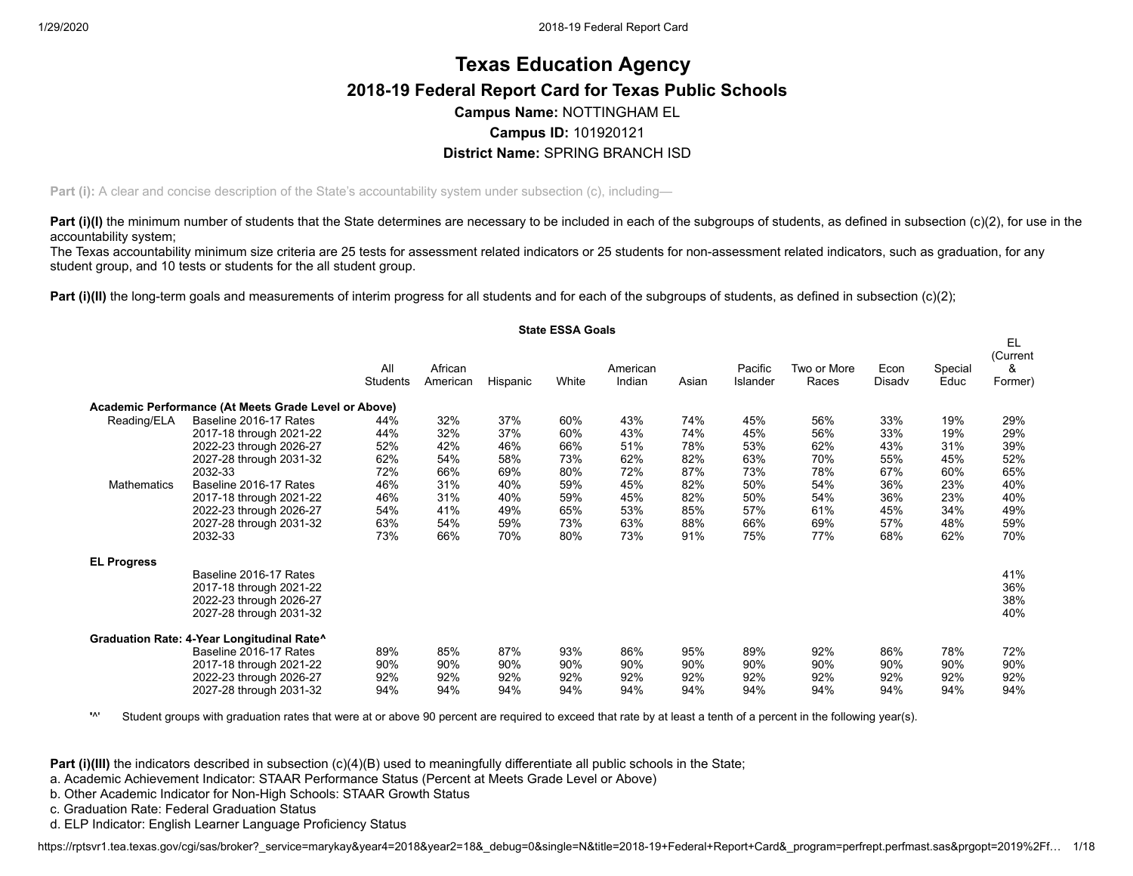# **Texas Education Agency 2018-19 Federal Report Card for Texas Public Schools Campus Name:** NOTTINGHAM EL **Campus ID:** 101920121 **District Name:** SPRING BRANCH ISD

**Part (i):** A clear and concise description of the State's accountability system under subsection (c), including—

**Part (i)(I)** the minimum number of students that the State determines are necessary to be included in each of the subgroups of students, as defined in subsection (c)(2), for use in the accountability system;

The Texas accountability minimum size criteria are 25 tests for assessment related indicators or 25 students for non-assessment related indicators, such as graduation, for any student group, and 10 tests or students for the all student group.

**Part (i)(II)** the long-term goals and measurements of interim progress for all students and for each of the subgroups of students, as defined in subsection (c)(2);

|                    |                                                      |                 |                     |          | <b>State ESSA Goals</b> |                    |       |                     |                      |                |                 | EL.                      |
|--------------------|------------------------------------------------------|-----------------|---------------------|----------|-------------------------|--------------------|-------|---------------------|----------------------|----------------|-----------------|--------------------------|
|                    |                                                      | All<br>Students | African<br>American | Hispanic | White                   | American<br>Indian | Asian | Pacific<br>Islander | Two or More<br>Races | Econ<br>Disady | Special<br>Educ | (Current<br>&<br>Former) |
|                    | Academic Performance (At Meets Grade Level or Above) |                 |                     |          |                         |                    |       |                     |                      |                |                 |                          |
| Reading/ELA        | Baseline 2016-17 Rates                               | 44%             | 32%                 | 37%      | 60%                     | 43%                | 74%   | 45%                 | 56%                  | 33%            | 19%             | 29%                      |
|                    | 2017-18 through 2021-22                              | 44%             | 32%                 | 37%      | 60%                     | 43%                | 74%   | 45%                 | 56%                  | 33%            | 19%             | 29%                      |
|                    | 2022-23 through 2026-27                              | 52%             | 42%                 | 46%      | 66%                     | 51%                | 78%   | 53%                 | 62%                  | 43%            | 31%             | 39%                      |
|                    | 2027-28 through 2031-32                              | 62%             | 54%                 | 58%      | 73%                     | 62%                | 82%   | 63%                 | 70%                  | 55%            | 45%             | 52%                      |
|                    | 2032-33                                              | 72%             | 66%                 | 69%      | 80%                     | 72%                | 87%   | 73%                 | 78%                  | 67%            | 60%             | 65%                      |
| <b>Mathematics</b> | Baseline 2016-17 Rates                               | 46%             | 31%                 | 40%      | 59%                     | 45%                | 82%   | 50%                 | 54%                  | 36%            | 23%             | 40%                      |
|                    | 2017-18 through 2021-22                              | 46%             | 31%                 | 40%      | 59%                     | 45%                | 82%   | 50%                 | 54%                  | 36%            | 23%             | 40%                      |
|                    | 2022-23 through 2026-27                              | 54%             | 41%                 | 49%      | 65%                     | 53%                | 85%   | 57%                 | 61%                  | 45%            | 34%             | 49%                      |
|                    | 2027-28 through 2031-32                              | 63%             | 54%                 | 59%      | 73%                     | 63%                | 88%   | 66%                 | 69%                  | 57%            | 48%             | 59%                      |
|                    | 2032-33                                              | 73%             | 66%                 | 70%      | 80%                     | 73%                | 91%   | 75%                 | 77%                  | 68%            | 62%             | 70%                      |
| <b>EL Progress</b> |                                                      |                 |                     |          |                         |                    |       |                     |                      |                |                 |                          |
|                    | Baseline 2016-17 Rates                               |                 |                     |          |                         |                    |       |                     |                      |                |                 | 41%                      |
|                    | 2017-18 through 2021-22                              |                 |                     |          |                         |                    |       |                     |                      |                |                 | 36%                      |
|                    | 2022-23 through 2026-27                              |                 |                     |          |                         |                    |       |                     |                      |                |                 | 38%                      |
|                    | 2027-28 through 2031-32                              |                 |                     |          |                         |                    |       |                     |                      |                |                 | 40%                      |
|                    | Graduation Rate: 4-Year Longitudinal Rate^           |                 |                     |          |                         |                    |       |                     |                      |                |                 |                          |
|                    | Baseline 2016-17 Rates                               | 89%             | 85%                 | 87%      | 93%                     | 86%                | 95%   | 89%                 | 92%                  | 86%            | 78%             | 72%                      |
|                    | 2017-18 through 2021-22                              | 90%             | 90%                 | 90%      | 90%                     | 90%                | 90%   | 90%                 | 90%                  | 90%            | 90%             | 90%                      |
|                    | 2022-23 through 2026-27                              | 92%             | 92%                 | 92%      | 92%                     | 92%                | 92%   | 92%                 | 92%                  | 92%            | 92%             | 92%                      |
|                    | 2027-28 through 2031-32                              | 94%             | 94%                 | 94%      | 94%                     | 94%                | 94%   | 94%                 | 94%                  | 94%            | 94%             | 94%                      |

**'**^' Student groups with graduation rates that were at or above 90 percent are required to exceed that rate by at least a tenth of a percent in the following year(s).

**Part (i)(III)** the indicators described in subsection (c)(4)(B) used to meaningfully differentiate all public schools in the State;

a. Academic Achievement Indicator: STAAR Performance Status (Percent at Meets Grade Level or Above)

b. Other Academic Indicator for Non-High Schools: STAAR Growth Status

c. Graduation Rate: Federal Graduation Status

d. ELP Indicator: English Learner Language Proficiency Status

https://rptsvr1.tea.texas.gov/cqi/sas/broker?\_service=marykay&year4=2018&year2=18&\_debug=0&single=N&title=2018-19+Federal+Report+Card&\_program=perfrept.perfmast.sas&prgopt=2019%2Ff... 1/18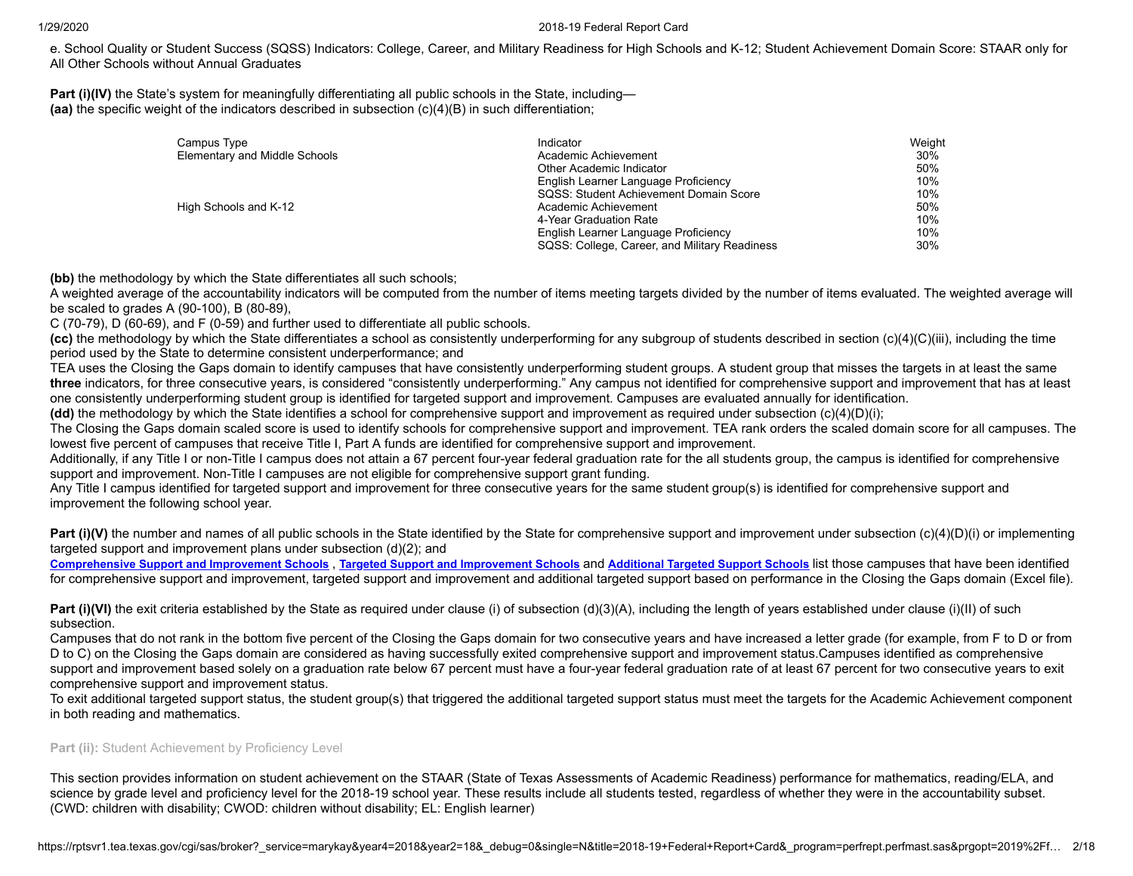e. School Quality or Student Success (SQSS) Indicators: College, Career, and Military Readiness for High Schools and K-12; Student Achievement Domain Score: STAAR only for All Other Schools without Annual Graduates

**Part (i)(IV)** the State's system for meaningfully differentiating all public schools in the State, including— **(aa)** the specific weight of the indicators described in subsection (c)(4)(B) in such differentiation;

| Campus Type                   | Indicator                                     | Weight |
|-------------------------------|-----------------------------------------------|--------|
| Elementary and Middle Schools | Academic Achievement                          | 30%    |
|                               | Other Academic Indicator                      | 50%    |
|                               | English Learner Language Proficiency          | 10%    |
|                               | SQSS: Student Achievement Domain Score        | 10%    |
| High Schools and K-12         | Academic Achievement                          | 50%    |
|                               | 4-Year Graduation Rate                        | 10%    |
|                               | English Learner Language Proficiency          | 10%    |
|                               | SQSS: College, Career, and Military Readiness | 30%    |

**(bb)** the methodology by which the State differentiates all such schools;

A weighted average of the accountability indicators will be computed from the number of items meeting targets divided by the number of items evaluated. The weighted average will be scaled to grades A (90-100), B (80-89),

C (70-79), D (60-69), and F (0-59) and further used to differentiate all public schools.

**(cc)** the methodology by which the State differentiates a school as consistently underperforming for any subgroup of students described in section (c)(4)(C)(iii), including the time period used by the State to determine consistent underperformance; and

TEA uses the Closing the Gaps domain to identify campuses that have consistently underperforming student groups. A student group that misses the targets in at least the same **three** indicators, for three consecutive years, is considered "consistently underperforming." Any campus not identified for comprehensive support and improvement that has at least one consistently underperforming student group is identified for targeted support and improvement. Campuses are evaluated annually for identification.

**(dd)** the methodology by which the State identifies a school for comprehensive support and improvement as required under subsection (c)(4)(D)(i);

The Closing the Gaps domain scaled score is used to identify schools for comprehensive support and improvement. TEA rank orders the scaled domain score for all campuses. The lowest five percent of campuses that receive Title I, Part A funds are identified for comprehensive support and improvement.

Additionally, if any Title I or non-Title I campus does not attain a 67 percent four-year federal graduation rate for the all students group, the campus is identified for comprehensive support and improvement. Non-Title I campuses are not eligible for comprehensive support grant funding.

Any Title I campus identified for targeted support and improvement for three consecutive years for the same student group(s) is identified for comprehensive support and improvement the following school year.

**Part (i)(V)** the number and names of all public schools in the State identified by the State for comprehensive support and improvement under subsection (c)(4)(D)(i) or implementing targeted support and improvement plans under subsection (d)(2); and

[Comprehensive](https://tea.texas.gov/sites/default/files/comprehensive_support_2019.xlsx) Support and [Improvement](https://tea.texas.gov/sites/default/files/target_support_2019.xlsx) Schools, Targeted Support and Improvement Schools and [Additional](https://tea.texas.gov/sites/default/files/additional_targeted_support_2019.xlsx) Targeted Support Schools list those campuses that have been identified for comprehensive support and improvement, targeted support and improvement and additional targeted support based on performance in the Closing the Gaps domain (Excel file).

**Part (i)(VI)** the exit criteria established by the State as required under clause (i) of subsection (d)(3)(A), including the length of years established under clause (i)(II) of such subsection.

Campuses that do not rank in the bottom five percent of the Closing the Gaps domain for two consecutive years and have increased a letter grade (for example, from F to D or from D to C) on the Closing the Gaps domain are considered as having successfully exited comprehensive support and improvement status.Campuses identified as comprehensive support and improvement based solely on a graduation rate below 67 percent must have a four-year federal graduation rate of at least 67 percent for two consecutive years to exit comprehensive support and improvement status.

To exit additional targeted support status, the student group(s) that triggered the additional targeted support status must meet the targets for the Academic Achievement component in both reading and mathematics.

# Part (ii): Student Achievement by Proficiency Level

This section provides information on student achievement on the STAAR (State of Texas Assessments of Academic Readiness) performance for mathematics, reading/ELA, and science by grade level and proficiency level for the 2018-19 school year. These results include all students tested, regardless of whether they were in the accountability subset. (CWD: children with disability; CWOD: children without disability; EL: English learner)

https://rptsvr1.tea.texas.gov/cgi/sas/broker?\_service=marykay&year4=2018&year2=18&\_debug=0&single=N&title=2018-19+Federal+Report+Card&\_program=perfrept.perfmast.sas&prgopt=2019%2Ff... 2/18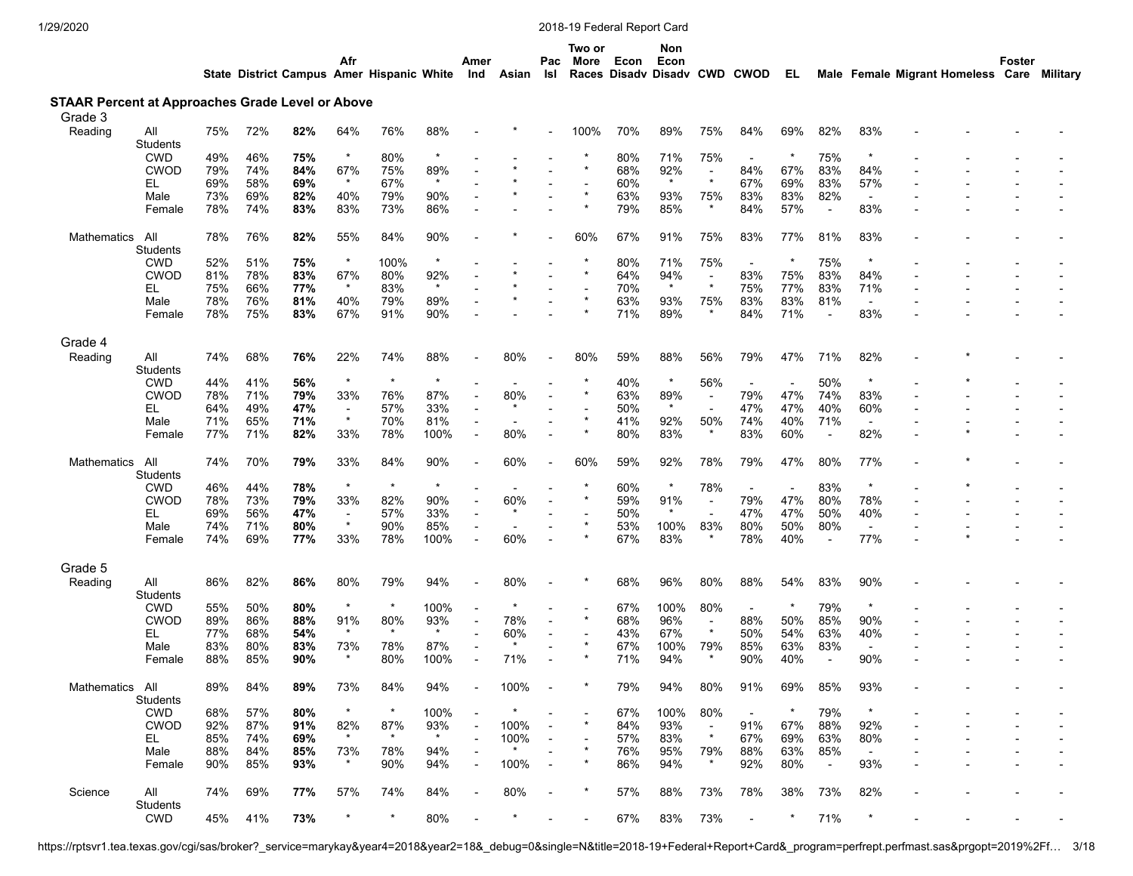Science All

Students<br>CWD

| 1/29/2020                                                          |                 |     |     |     |                          |                                           |         |                |                |                |                | 2018-19 Federal Report Card |                                             |                          |                          |                          |                          |                          |                                   |        |          |
|--------------------------------------------------------------------|-----------------|-----|-----|-----|--------------------------|-------------------------------------------|---------|----------------|----------------|----------------|----------------|-----------------------------|---------------------------------------------|--------------------------|--------------------------|--------------------------|--------------------------|--------------------------|-----------------------------------|--------|----------|
|                                                                    |                 |     |     |     | Afr                      | State District Campus Amer Hispanic White |         | Amer<br>Ind    | Asian          | Pac<br>Isl     | Two or<br>More | Econ                        | Non<br>Econ<br>Races Disady Disady CWD CWOD |                          |                          | EL.                      |                          |                          | Male Female Migrant Homeless Care | Foster | Military |
|                                                                    |                 |     |     |     |                          |                                           |         |                |                |                |                |                             |                                             |                          |                          |                          |                          |                          |                                   |        |          |
| <b>STAAR Percent at Approaches Grade Level or Above</b><br>Grade 3 |                 |     |     |     |                          |                                           |         |                |                |                |                |                             |                                             |                          |                          |                          |                          |                          |                                   |        |          |
| Reading                                                            | All             | 75% | 72% | 82% | 64%                      | 76%                                       | 88%     |                |                |                | 100%           | 70%                         | 89%                                         | 75%                      | 84%                      | 69%                      | 82%                      | 83%                      |                                   |        |          |
|                                                                    | Students        |     |     |     |                          |                                           |         |                |                |                |                |                             |                                             |                          |                          |                          |                          |                          |                                   |        |          |
|                                                                    | <b>CWD</b>      | 49% | 46% | 75% | $^\star$                 | 80%                                       |         |                |                |                |                | 80%                         | 71%                                         | 75%                      | $\overline{\phantom{a}}$ |                          | 75%                      |                          |                                   |        |          |
|                                                                    | <b>CWOD</b>     | 79% | 74% | 84% | 67%                      | 75%                                       | 89%     |                |                |                |                | 68%                         | 92%                                         | $\overline{\phantom{a}}$ | 84%                      | 67%                      | 83%                      | 84%                      |                                   |        |          |
|                                                                    | EL.             | 69% | 58% | 69% | $\star$                  | 67%                                       | $\star$ |                |                |                |                | 60%                         | $\star$                                     | $\star$                  | 67%                      | 69%                      | 83%                      | 57%                      |                                   |        |          |
|                                                                    | Male            | 73% | 69% | 82% | 40%                      | 79%                                       | 90%     |                |                |                |                | 63%                         | 93%                                         | 75%                      | 83%                      | 83%                      | 82%                      | $\sim$                   |                                   |        |          |
|                                                                    | Female          | 78% | 74% | 83% | 83%                      | 73%                                       | 86%     |                |                |                |                | 79%                         | 85%                                         | $\ast$                   | 84%                      | 57%                      | $\overline{\phantom{a}}$ | 83%                      |                                   |        |          |
| Mathematics                                                        | All             | 78% | 76% | 82% | 55%                      | 84%                                       | 90%     |                |                |                | 60%            | 67%                         | 91%                                         | 75%                      | 83%                      | 77%                      | 81%                      | 83%                      |                                   |        |          |
|                                                                    | Students        |     |     |     |                          |                                           |         |                |                |                |                |                             |                                             |                          |                          |                          |                          |                          |                                   |        |          |
|                                                                    | <b>CWD</b>      | 52% | 51% | 75% | $\star$                  | 100%                                      |         |                |                |                |                | 80%                         | 71%                                         | 75%                      |                          | $\ast$                   | 75%                      |                          |                                   |        |          |
|                                                                    | <b>CWOD</b>     | 81% | 78% | 83% | 67%                      | 80%                                       | 92%     |                |                |                |                | 64%                         | 94%                                         | $\overline{\phantom{a}}$ | 83%                      | 75%                      | 83%                      | 84%                      |                                   |        |          |
|                                                                    | EL.             | 75% | 66% | 77% | $\star$                  | 83%                                       | $\star$ |                |                |                |                | 70%                         | $\star$                                     | $\star$                  | 75%                      | 77%                      | 83%                      | 71%                      |                                   |        |          |
|                                                                    | Male            | 78% | 76% | 81% | 40%                      | 79%                                       | 89%     |                |                |                |                | 63%                         | 93%                                         | 75%                      | 83%                      | 83%                      | 81%                      | $\overline{\phantom{a}}$ |                                   |        |          |
|                                                                    | Female          | 78% | 75% | 83% | 67%                      | 91%                                       | 90%     |                |                |                |                | 71%                         | 89%                                         | $\star$                  | 84%                      | 71%                      | $\overline{\phantom{a}}$ | 83%                      |                                   |        |          |
|                                                                    |                 |     |     |     |                          |                                           |         |                |                |                |                |                             |                                             |                          |                          |                          |                          |                          |                                   |        |          |
| Grade 4                                                            |                 |     |     |     |                          |                                           |         |                |                |                |                |                             |                                             |                          |                          |                          |                          |                          |                                   |        |          |
| Reading                                                            | All             | 74% | 68% | 76% | 22%                      | 74%                                       | 88%     |                | 80%            |                | 80%            | 59%                         | 88%                                         | 56%                      | 79%                      | 47%                      | 71%                      | 82%                      |                                   |        |          |
|                                                                    | Students        |     |     |     |                          |                                           |         |                |                |                |                |                             |                                             |                          |                          |                          |                          |                          |                                   |        |          |
|                                                                    | <b>CWD</b>      | 44% | 41% | 56% | $\star$                  | $\star$                                   | $\star$ |                |                |                |                | 40%                         | $\star$                                     | 56%                      |                          | $\overline{\phantom{a}}$ | 50%                      |                          |                                   |        |          |
|                                                                    | <b>CWOD</b>     | 78% | 71% | 79% | 33%                      | 76%                                       | 87%     |                | 80%            |                |                | 63%                         | 89%                                         | $\overline{\phantom{a}}$ | 79%                      | 47%                      | 74%                      | 83%                      |                                   |        |          |
|                                                                    | EL.             | 64% | 49% | 47% | $\overline{\phantom{a}}$ | 57%                                       | 33%     |                | $\star$        |                |                | 50%                         | $\star$                                     | $\blacksquare$           | 47%                      | 47%                      | 40%                      | 60%                      |                                   |        |          |
|                                                                    | Male            | 71% | 65% | 71% | $\star$                  | 70%                                       | 81%     |                |                |                |                | 41%                         | 92%                                         | 50%                      | 74%                      | 40%                      | 71%                      | $\overline{\phantom{a}}$ |                                   |        |          |
|                                                                    | Female          | 77% | 71% | 82% | 33%                      | 78%                                       | 100%    | ÷,             | 80%            |                |                | 80%                         | 83%                                         | $\star$                  | 83%                      | 60%                      | $\overline{\phantom{a}}$ | 82%                      |                                   |        |          |
| Mathematics                                                        | All<br>Students | 74% | 70% | 79% | 33%                      | 84%                                       | 90%     |                | 60%            |                | 60%            | 59%                         | 92%                                         | 78%                      | 79%                      | 47%                      | 80%                      | 77%                      |                                   |        |          |
|                                                                    | <b>CWD</b>      | 46% | 44% | 78% | $\star$                  | $\star$                                   | $\star$ |                | $\blacksquare$ |                |                | 60%                         | $\star$                                     | 78%                      | $\overline{\phantom{a}}$ | $\overline{\phantom{a}}$ | 83%                      | $\star$                  |                                   |        |          |
|                                                                    | <b>CWOD</b>     | 78% | 73% | 79% | 33%                      | 82%                                       | 90%     | $\overline{a}$ | 60%            | $\blacksquare$ |                | 59%                         | 91%                                         | $\overline{\phantom{a}}$ | 79%                      | 47%                      | 80%                      | 78%                      |                                   |        |          |
|                                                                    | EL.             | 69% | 56% | 47% | $\overline{\phantom{a}}$ | 57%                                       | 33%     |                |                |                |                | 50%                         | $\star$                                     | $\blacksquare$           | 47%                      | 47%                      | 50%                      | 40%                      |                                   |        |          |
|                                                                    | Male            | 74% | 71% | 80% | $\star$                  | 90%                                       | 85%     | $\overline{a}$ |                |                |                | 53%                         | 100%                                        | 83%                      | 80%                      | 50%                      | 80%                      | $\sim$                   |                                   |        |          |
|                                                                    | Female          | 74% | 69% | 77% | 33%                      | 78%                                       | 100%    |                | 60%            |                |                | 67%                         | 83%                                         | $\star$                  | 78%                      | 40%                      | $\overline{a}$           | 77%                      |                                   |        |          |
| Grade 5                                                            |                 |     |     |     |                          |                                           |         |                |                |                |                |                             |                                             |                          |                          |                          |                          |                          |                                   |        |          |
| Reading                                                            | aii             | 86% | 82% | 86% | 80%                      | 79%                                       | 94%     |                | 80%            |                |                | 68%                         | 96%                                         | 80%                      | 88%                      | 54%                      | 83%                      | 90%                      |                                   |        |          |
|                                                                    | Students        |     |     |     |                          |                                           |         |                |                |                |                |                             |                                             |                          |                          |                          |                          |                          |                                   |        |          |
|                                                                    | <b>CWD</b>      | 55% | 50% | 80% | $\star$                  | $\star$                                   | 100%    |                |                |                |                | 67%                         | 100%                                        | 80%                      | $\overline{\phantom{a}}$ | $^\ast$                  | 79%                      | $\star$                  |                                   |        |          |
|                                                                    | <b>CWOD</b>     | 89% | 86% | 88% | 91%                      | 80%                                       | 93%     |                | 78%            |                |                | 68%                         | 96%                                         | $\overline{\phantom{a}}$ | 88%                      | 50%                      | 85%                      | 90%                      |                                   |        |          |
|                                                                    | EL.             | 77% | 68% | 54% | $\star$                  |                                           | $\star$ |                | 60%            |                |                | 43%                         | 67%                                         | $\star$                  | 50%                      | 54%                      | 63%                      | 40%                      |                                   |        |          |
|                                                                    | Male            | 83% | 80% | 83% | 73%                      | 78%                                       | 87%     |                |                |                |                | 67%                         | 100%                                        | 79%                      | 85%                      | 63%                      | 83%                      |                          |                                   |        |          |
|                                                                    | Female          | 88% | 85% | 90% |                          | 80%                                       | 100%    |                | 71%            |                |                | 71%                         | 94%                                         |                          | 90%                      | 40%                      |                          | 90%                      |                                   |        |          |
|                                                                    |                 |     |     |     |                          |                                           |         |                |                |                |                |                             |                                             |                          |                          |                          |                          |                          |                                   |        |          |
| Mathematics All                                                    |                 | 89% | 84% | 89% | 73%                      | 84%                                       | 94%     |                | 100%           |                |                | 79%                         | 94%                                         | 80%                      | 91%                      | 69%                      | 85%                      | 93%                      |                                   |        |          |
|                                                                    | Students        |     |     |     |                          |                                           |         |                |                |                |                |                             |                                             |                          |                          |                          |                          |                          |                                   |        |          |
|                                                                    | <b>CWD</b>      | 68% | 57% | 80% | $\star$                  | $\star$                                   | 100%    |                | $\ast$         |                |                | 67%                         | 100%                                        | 80%                      | $\overline{\phantom{a}}$ | $\star$                  | 79%                      | $\star$                  |                                   |        |          |
|                                                                    | <b>CWOD</b>     | 92% | 87% | 91% | 82%                      | 87%                                       | 93%     |                | 100%           |                |                | 84%                         | 93%                                         | $\overline{\phantom{a}}$ | 91%                      | 67%                      | 88%                      | 92%                      |                                   |        |          |
|                                                                    | EL.             | 85% | 74% | 69% |                          |                                           | $\star$ |                | 100%           |                |                | 57%                         | 83%                                         | $\star$                  | 67%                      | 69%                      | 63%                      | 80%                      |                                   |        |          |
|                                                                    | Male            | 88% | 84% | 85% | 73%                      | 78%                                       | 94%     |                |                |                |                | 76%                         | 95%                                         | 79%                      | 88%                      | 63%                      | 85%                      | $\overline{\phantom{a}}$ |                                   |        |          |
|                                                                    | Female          | 90% | 85% | 93% |                          | 90%                                       | 94%     |                | 100%           |                |                | 86%                         | 94%                                         | $\star$                  | 92%                      | 80%                      |                          | 93%                      |                                   |        |          |

74% 69% **77%** 57% 74% 84% - 80% - \* 57% 88% 73% 78% 38% 73% 82% - - - -

CWD 45% 41% **73%** \* \* 80% - \* - - 67% 83% 73% - \* 71% \* - - - -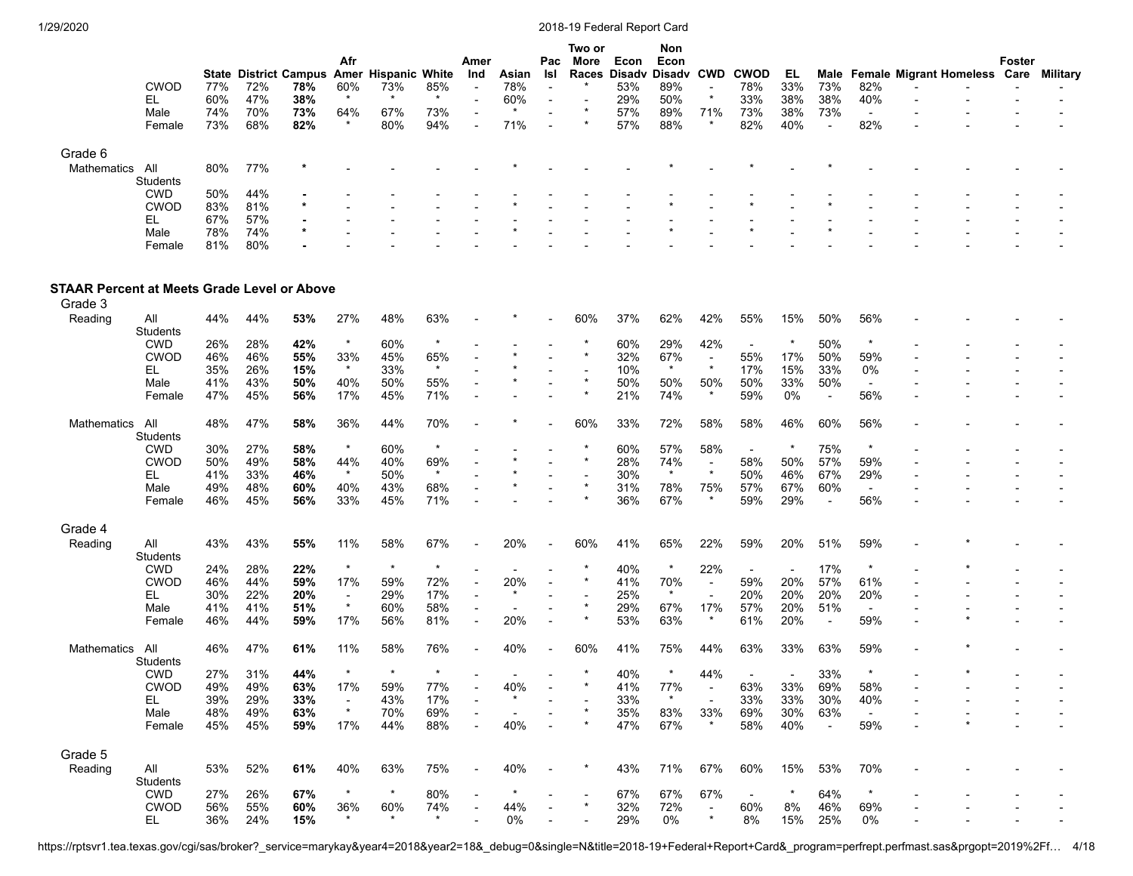|             |             |     |     |                              |         |                     |     |                          |       |                          | Two or                   |      | <b>Non</b>        |        |             |     |        |                          |                          |                                   |        |          |
|-------------|-------------|-----|-----|------------------------------|---------|---------------------|-----|--------------------------|-------|--------------------------|--------------------------|------|-------------------|--------|-------------|-----|--------|--------------------------|--------------------------|-----------------------------------|--------|----------|
|             |             |     |     |                              | Afr     |                     |     | Amer                     |       | Pac                      | More                     | Econ | Econ              |        |             |     |        |                          |                          |                                   | Foster |          |
|             |             |     |     | <b>State District Campus</b> |         | Amer Hispanic White |     | Ind                      | Asian | Isl                      | Races                    |      | Disady Disady CWD |        | <b>CWOD</b> | EL  |        |                          |                          | Male Female Migrant Homeless Care |        | Military |
|             | <b>CWOD</b> | 77% | 72% | 78%                          | 60%     | 73%                 | 85% | $\overline{\phantom{0}}$ | 78%   | $\overline{\phantom{0}}$ |                          | 53%  | 89%               | $\sim$ | 78%         | 33% | 73%    | 82%                      | $\overline{\phantom{0}}$ | $\overline{\phantom{0}}$          |        |          |
|             | EL          | 60% | 47% | 38%                          | $\star$ |                     |     | $\overline{\phantom{0}}$ | 60%   | $\overline{\phantom{0}}$ | $\overline{\phantom{0}}$ | 29%  | 50%               |        | 33%         | 38% | 38%    | 40%                      |                          | $\overline{\phantom{a}}$          |        |          |
|             | Male        | 74% | 70% | 73%                          | 64%     | 67%                 | 73% |                          |       | $\overline{\phantom{0}}$ |                          | 57%  | 89%               | 71%    | 73%         | 38% | 73%    | $\overline{\phantom{0}}$ |                          |                                   |        |          |
|             | Female      | 73% | 68% | 82%                          |         | 80%                 | 94% | $\overline{\phantom{0}}$ | 71%   | $\overline{\phantom{0}}$ |                          | 57%  | 88%               |        | 82%         | 40% | $\sim$ | 82%                      |                          | $\overline{\phantom{0}}$          |        |          |
| Grade 6     |             |     |     |                              |         |                     |     |                          |       |                          |                          |      |                   |        |             |     |        |                          |                          |                                   |        |          |
| Mathematics | All         | 80% | 77% | $\ast$                       |         |                     |     |                          |       |                          |                          |      |                   |        |             |     |        |                          |                          |                                   |        |          |
|             | Students    |     |     |                              |         |                     |     |                          |       |                          |                          |      |                   |        |             |     |        |                          |                          |                                   |        |          |
|             | <b>CWD</b>  | 50% | 44% |                              |         |                     |     |                          |       |                          |                          |      |                   |        |             |     |        |                          |                          |                                   |        |          |
|             | <b>CWOD</b> | 83% | 81% | $\star$                      |         |                     |     |                          |       |                          |                          |      |                   |        |             |     |        |                          |                          |                                   |        |          |
|             | EL          | 67% | 57% | ۰.                           |         |                     |     |                          |       |                          |                          |      |                   |        |             |     |        |                          |                          |                                   |        |          |
|             | Male        | 78% | 74% | $\star$                      |         |                     |     |                          |       |                          |                          |      |                   |        |             |     |        |                          |                          |                                   |        |          |
|             | Female      | 81% | 80% |                              |         |                     |     |                          |       |                          |                          |      |                   |        |             |     |        |                          |                          |                                   |        |          |

# **STAAR Percent at Meets Grade Level or Above**

| Grade 3            |                 |     |     |     |                          |         |         |         |         |     |         |                          |                          |                          |                          |                |  |  |
|--------------------|-----------------|-----|-----|-----|--------------------------|---------|---------|---------|---------|-----|---------|--------------------------|--------------------------|--------------------------|--------------------------|----------------|--|--|
| Reading            | All             | 44% | 44% | 53% | 27%                      | 48%     | 63%     |         | 60%     | 37% | 62%     | 42%                      | 55%                      | 15%                      | 50%                      | 56%            |  |  |
|                    | <b>Students</b> |     |     |     |                          |         |         |         |         |     |         |                          |                          |                          |                          |                |  |  |
|                    | <b>CWD</b>      | 26% | 28% | 42% | $\star$                  | 60%     | $\ast$  |         |         | 60% | 29%     | 42%                      |                          | *                        | 50%                      | $\star$        |  |  |
|                    | CWOD            | 46% | 46% | 55% | 33%                      | 45%     | 65%     |         |         | 32% | 67%     | $\overline{\phantom{a}}$ | 55%                      | 17%                      | 50%                      | 59%            |  |  |
|                    | EL              | 35% | 26% | 15% | $\star$                  | 33%     | $\star$ |         |         | 10% | $\star$ | $\star$                  | 17%                      | 15%                      | 33%                      | 0%             |  |  |
|                    | Male            | 41% | 43% | 50% | 40%                      | 50%     | 55%     |         | $\star$ | 50% | 50%     | 50%                      | 50%                      | 33%                      | 50%                      | $\blacksquare$ |  |  |
|                    | Female          | 47% | 45% | 56% | 17%                      | 45%     | 71%     |         |         | 21% | 74%     | $\star$                  | 59%                      | 0%                       |                          | 56%            |  |  |
|                    |                 |     |     |     |                          |         |         |         |         |     |         |                          |                          |                          |                          |                |  |  |
| Mathematics        | All             | 48% | 47% | 58% | 36%                      | 44%     | 70%     |         | 60%     | 33% | 72%     | 58%                      | 58%                      | 46%                      | 60%                      | 56%            |  |  |
|                    | <b>Students</b> |     |     |     |                          |         |         |         |         |     |         |                          |                          |                          |                          |                |  |  |
|                    | <b>CWD</b>      | 30% | 27% | 58% |                          | 60%     | $\star$ |         |         | 60% | 57%     | 58%                      | $\overline{\phantom{a}}$ |                          | 75%                      | $^\star$       |  |  |
|                    | <b>CWOD</b>     | 50% | 49% | 58% | 44%                      | 40%     | 69%     |         |         | 28% | 74%     | $\blacksquare$           | 58%                      | 50%                      | 57%                      | 59%            |  |  |
|                    | EL              | 41% | 33% | 46% | $\star$                  | 50%     | $\star$ |         |         | 30% | $\star$ | $\star$                  | 50%                      | 46%                      | 67%                      | 29%            |  |  |
|                    | Male            | 49% | 48% | 60% | 40%                      | 43%     | 68%     |         | $\star$ | 31% | 78%     | 75%                      | 57%                      | 67%                      | 60%                      | $\blacksquare$ |  |  |
|                    | Female          | 46% | 45% | 56% | 33%                      | 45%     | 71%     |         |         | 36% | 67%     | $\star$                  | 59%                      | 29%                      | $\blacksquare$           | 56%            |  |  |
|                    |                 |     |     |     |                          |         |         |         |         |     |         |                          |                          |                          |                          |                |  |  |
| Grade 4            |                 |     |     |     |                          |         |         |         |         |     |         |                          |                          |                          |                          |                |  |  |
| Reading            | All             | 43% | 43% | 55% | 11%                      | 58%     | 67%     | 20%     | 60%     | 41% | 65%     | 22%                      | 59%                      | 20%                      | 51%                      | 59%            |  |  |
|                    | Students        |     |     |     |                          |         |         |         |         |     |         |                          |                          |                          |                          |                |  |  |
|                    | <b>CWD</b>      | 24% | 28% | 22% | $\star$                  | $\star$ | $\star$ |         |         | 40% |         | 22%                      | $\overline{\phantom{a}}$ | $\overline{\phantom{a}}$ | 17%                      | $\ast$         |  |  |
|                    | <b>CWOD</b>     | 46% | 44% | 59% | 17%                      | 59%     | 72%     | 20%     |         | 41% | 70%     |                          | 59%                      | 20%                      | 57%                      | 61%            |  |  |
|                    | EL              | 30% | 22% | 20% | $\overline{\phantom{a}}$ | 29%     | 17%     |         |         | 25% | $\star$ |                          | 20%                      | 20%                      | 20%                      | 20%            |  |  |
|                    | Male            | 41% | 41% | 51% | $\star$                  | 60%     | 58%     |         |         | 29% | 67%     | 17%                      | 57%                      | 20%                      | 51%                      | $\blacksquare$ |  |  |
|                    | Female          | 46% | 44% | 59% | 17%                      | 56%     | 81%     | 20%     |         | 53% | 63%     | $\star$                  | 61%                      | 20%                      | $\overline{\phantom{a}}$ | 59%            |  |  |
|                    |                 |     |     |     |                          |         |         |         |         |     |         |                          |                          |                          |                          |                |  |  |
| <b>Mathematics</b> | All             | 46% | 47% | 61% | 11%                      | 58%     | 76%     | 40%     | 60%     | 41% | 75%     | 44%                      | 63%                      | 33%                      | 63%                      | 59%            |  |  |
|                    | <b>Students</b> |     |     |     |                          |         |         |         |         |     |         |                          |                          |                          |                          |                |  |  |
|                    | <b>CWD</b>      | 27% | 31% | 44% | $\star$                  | $\star$ | $\star$ |         |         | 40% | $\star$ | 44%                      |                          | $\overline{\phantom{a}}$ | 33%                      | $\star$        |  |  |
|                    | <b>CWOD</b>     | 49% | 49% | 63% | 17%                      | 59%     | 77%     | 40%     |         | 41% | 77%     | $\overline{\phantom{a}}$ | 63%                      | 33%                      | 69%                      | 58%            |  |  |
|                    | EL.             | 39% | 29% | 33% | $\blacksquare$           | 43%     | 17%     | $\star$ |         | 33% | $\star$ | $\blacksquare$           | 33%                      | 33%                      | 30%                      | 40%            |  |  |
|                    | Male            | 48% | 49% | 63% | $\star$                  | 70%     | 69%     |         |         | 35% | 83%     | 33%                      | 69%                      | 30%                      | 63%                      | $\blacksquare$ |  |  |
|                    | Female          | 45% | 45% | 59% | 17%                      | 44%     | 88%     | 40%     |         | 47% | 67%     | $\star$                  | 58%                      | 40%                      | $\overline{\phantom{a}}$ | 59%            |  |  |
|                    |                 |     |     |     |                          |         |         |         |         |     |         |                          |                          |                          |                          |                |  |  |
| Grade 5            |                 |     |     |     |                          |         |         |         |         |     |         |                          |                          |                          |                          |                |  |  |
| Reading            | All             | 53% | 52% | 61% | 40%                      | 63%     | 75%     | 40%     |         | 43% | 71%     | 67%                      | 60%                      | 15%                      | 53%                      | 70%            |  |  |
|                    | Students        |     |     |     |                          |         |         |         |         |     |         |                          |                          |                          |                          |                |  |  |
|                    | <b>CWD</b>      | 27% | 26% | 67% | $\star$                  | *       | 80%     |         |         | 67% | 67%     | 67%                      | $\overline{\phantom{a}}$ | $\star$                  | 64%                      | $\ast$         |  |  |
|                    | <b>CWOD</b>     | 56% | 55% | 60% | 36%                      | 60%     | 74%     | 44%     |         | 32% | 72%     | $\overline{\phantom{a}}$ | 60%                      | 8%                       | 46%                      | 69%            |  |  |
|                    | EL              | 36% | 24% | 15% | $\star$                  |         |         | 0%      |         | 29% | 0%      | $\star$                  | 8%                       | 15%                      | 25%                      | 0%             |  |  |
|                    |                 |     |     |     |                          |         |         |         |         |     |         |                          |                          |                          |                          |                |  |  |

https://rptsvr1.tea.texas.gov/cgi/sas/broker?\_service=marykay&year4=2018&year2=18&\_debug=0&single=N&title=2018-19+Federal+Report+Card&\_program=perfrept.perfmast.sas&prgopt=2019%2Ff… 4/18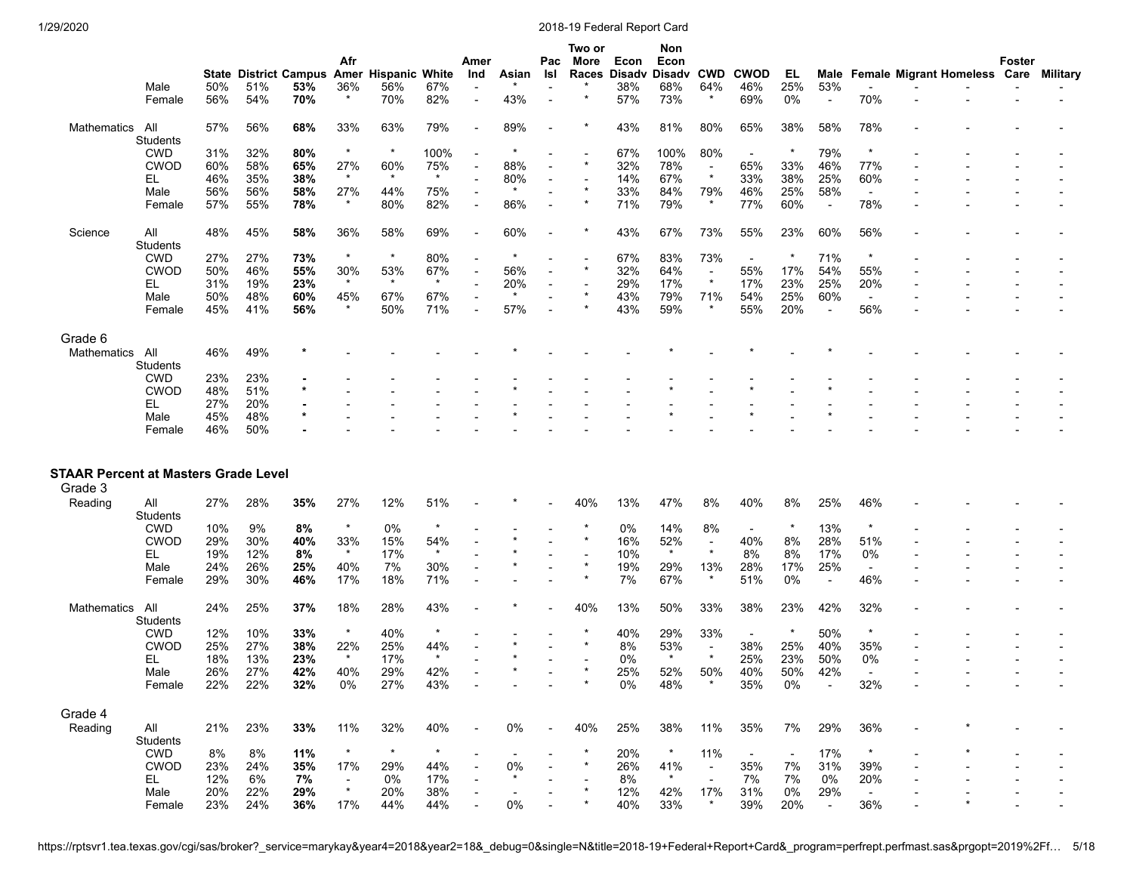|                                                        |                               |            | <b>State District Campus</b> |            | Afr                      | <b>Amer Hispanic White</b> |                 | Amer<br>Ind              | Asian   | Pac<br>Isl | Two or<br>More<br>Races | Econ<br><b>Disadv</b> | Non<br>Econ<br>Disadv | <b>CWD</b>               | <b>CWOD</b>              | EL.                      | Male                            |                          | <b>Female Migrant Homeless Care</b> | Foster | Military |
|--------------------------------------------------------|-------------------------------|------------|------------------------------|------------|--------------------------|----------------------------|-----------------|--------------------------|---------|------------|-------------------------|-----------------------|-----------------------|--------------------------|--------------------------|--------------------------|---------------------------------|--------------------------|-------------------------------------|--------|----------|
|                                                        | Male<br>Female                | 50%<br>56% | 51%<br>54%                   | 53%<br>70% | 36%                      | 56%<br>70%                 | 67%<br>82%      | $\overline{\phantom{a}}$ | 43%     |            |                         | 38%<br>57%            | 68%<br>73%            | 64%<br>$\star$           | 46%<br>69%               | 25%<br>0%                | 53%<br>$\overline{\phantom{a}}$ | 70%                      |                                     |        |          |
| Mathematics                                            | All<br><b>Students</b>        | 57%        | 56%                          | 68%        | 33%                      | 63%                        | 79%             |                          | 89%     |            |                         | 43%                   | 81%                   | 80%                      | 65%                      | 38%                      | 58%                             | 78%                      |                                     |        |          |
|                                                        | <b>CWD</b>                    | 31%        | 32%                          | 80%        | $\star$                  | $\star$                    | 100%            |                          |         |            |                         | 67%                   | 100%                  | 80%                      | $\overline{\phantom{a}}$ | $\star$                  | 79%                             | $\star$                  |                                     |        |          |
|                                                        | <b>CWOD</b>                   | 60%        | 58%                          | 65%        | 27%                      | 60%                        | 75%             |                          | 88%     |            |                         | 32%                   | 78%                   | $\overline{\phantom{a}}$ | 65%                      | 33%                      | 46%                             | 77%                      |                                     |        |          |
|                                                        | EL                            | 46%        | 35%                          | 38%        |                          | $\star$                    | $\star$         |                          | 80%     |            |                         | 14%                   | 67%                   | $\star$                  | 33%                      | 38%                      | 25%                             | 60%                      |                                     |        |          |
|                                                        | Male                          | 56%        | 56%                          | 58%        | 27%                      | 44%                        | 75%             |                          |         |            |                         | 33%                   | 84%                   | 79%                      | 46%                      | 25%                      | 58%                             | $\blacksquare$           |                                     |        |          |
|                                                        | Female                        | 57%        | 55%                          | 78%        |                          | 80%                        | 82%             |                          | 86%     |            |                         | 71%                   | 79%                   |                          | 77%                      | 60%                      | $\overline{\phantom{a}}$        | 78%                      |                                     |        |          |
| Science                                                | All<br><b>Students</b>        | 48%        | 45%                          | 58%        | 36%                      | 58%                        | 69%             |                          | 60%     |            |                         | 43%                   | 67%                   | 73%                      | 55%                      | 23%                      | 60%                             | 56%                      |                                     |        |          |
|                                                        | <b>CWD</b>                    | 27%        | 27%                          | 73%        | $\star$                  | $\star$                    | 80%             |                          |         |            |                         | 67%                   | 83%                   | 73%                      | $\overline{\phantom{a}}$ |                          | 71%                             |                          |                                     |        |          |
|                                                        | <b>CWOD</b>                   | 50%        | 46%                          | 55%        | 30%                      | 53%                        | 67%             |                          | 56%     |            |                         | 32%                   | 64%                   | $\overline{a}$           | 55%                      | 17%                      | 54%                             | 55%                      |                                     |        |          |
|                                                        | EL.                           | 31%        | 19%                          | 23%        |                          | $\star$                    | $\star$         |                          | 20%     |            |                         | 29%                   | 17%                   | $\star$                  | 17%                      | 23%                      | 25%                             | 20%                      |                                     |        |          |
|                                                        | Male                          | 50%        | 48%                          | 60%        | 45%                      | 67%                        | 67%             |                          | $\star$ |            |                         | 43%                   | 79%                   | 71%                      | 54%                      | 25%                      | 60%                             | $\sim$                   |                                     |        |          |
|                                                        | Female                        | 45%        | 41%                          | 56%        |                          | 50%                        | 71%             |                          | 57%     |            |                         | 43%                   | 59%                   | $\star$                  | 55%                      | 20%                      | $\overline{\phantom{a}}$        | 56%                      |                                     |        |          |
| Grade 6                                                |                               |            |                              |            |                          |                            |                 |                          |         |            |                         |                       |                       |                          |                          |                          |                                 |                          |                                     |        |          |
| Mathematics                                            | All                           | 46%        | 49%                          |            |                          |                            |                 |                          |         |            |                         |                       |                       |                          |                          |                          |                                 |                          |                                     |        |          |
|                                                        | <b>Students</b><br><b>CWD</b> | 23%        | 23%                          |            |                          |                            |                 |                          |         |            |                         |                       |                       |                          |                          |                          |                                 |                          |                                     |        |          |
|                                                        | <b>CWOD</b>                   | 48%        | 51%                          |            |                          |                            |                 |                          |         |            |                         |                       |                       |                          |                          |                          |                                 |                          |                                     |        |          |
|                                                        | EL.                           | 27%        | 20%                          |            |                          |                            |                 |                          |         |            |                         |                       |                       |                          |                          |                          |                                 |                          |                                     |        |          |
|                                                        | Male                          | 45%        | 48%                          |            |                          |                            |                 |                          |         |            |                         |                       |                       |                          |                          |                          |                                 |                          |                                     |        |          |
|                                                        | Female                        | 46%        | 50%                          |            |                          |                            |                 |                          |         |            |                         |                       |                       |                          |                          |                          |                                 |                          |                                     |        |          |
| <b>STAAR Percent at Masters Grade Level</b><br>Grade 3 |                               |            |                              |            |                          |                            |                 |                          |         |            |                         |                       |                       |                          |                          |                          |                                 |                          |                                     |        |          |
| Reading                                                | All<br>Students               | 27%        | 28%                          | 35%        | 27%                      | 12%                        | 51%             |                          |         |            | 40%                     | 13%                   | 47%                   | 8%                       | 40%                      | 8%                       | 25%                             | 46%                      |                                     |        |          |
|                                                        | <b>CWD</b>                    | 10%        | 9%                           | 8%         | $\star$                  | 0%                         | $^\star$        |                          |         |            |                         | 0%                    | 14%                   | 8%                       |                          | $\star$                  | 13%                             | $\star$                  |                                     |        |          |
|                                                        | <b>CWOD</b>                   | 29%        | 30%                          | 40%        | 33%                      | 15%                        | 54%             |                          |         |            |                         | 16%                   | 52%                   |                          | 40%                      | 8%                       | 28%                             | 51%                      |                                     |        |          |
|                                                        | EL.                           | 19%        | 12%                          | 8%         | $\star$                  | 17%                        | $\star$         |                          |         |            |                         | 10%                   | $\star$               |                          | 8%                       | 8%                       | 17%                             | 0%                       |                                     |        |          |
|                                                        | Male                          | 24%        | 26%                          | 25%        | 40%                      | 7%                         | 30%             |                          |         |            |                         | 19%                   | 29%                   | 13%                      | 28%                      | 17%                      | 25%                             | $\overline{\phantom{a}}$ |                                     |        |          |
|                                                        | Female                        | 29%        | 30%                          | 46%        | 17%                      | 18%                        | 71%             |                          |         |            |                         | 7%                    | 67%                   | $\star$                  | 51%                      | 0%                       | $\blacksquare$                  | 46%                      |                                     |        |          |
| Mathematics                                            | All<br><b>Students</b>        | 24%        | 25%                          | 37%        | 18%                      | 28%                        | 43%             |                          |         |            | 40%                     | 13%                   | 50%                   | 33%                      | 38%                      | 23%                      | 42%                             | 32%                      |                                     |        |          |
|                                                        | <b>CWD</b>                    | 12%        | 10%                          | 33%        | $\star$                  | 40%                        | $^\star$        |                          |         |            |                         | 40%                   | 29%                   | 33%                      |                          |                          | 50%                             | $\star$                  |                                     |        |          |
|                                                        | <b>CWOD</b>                   | 25%        | 27%                          | 38%        | 22%<br>$\star$           | 25%                        | 44%<br>$^\star$ |                          |         |            |                         | 8%                    | 53%<br>$\star$        | $\blacksquare$           | 38%                      | 25%                      | 40%                             | 35%                      |                                     |        |          |
|                                                        | EL                            | 18%        | 13%                          | 23%        |                          | 17%                        |                 |                          |         |            |                         | 0%                    |                       |                          | 25%                      | 23%                      | 50%                             | 0%                       |                                     |        |          |
|                                                        | Male                          | 26%        | 27%                          | 42%        | 40%                      | 29%                        | 42%             |                          |         |            |                         | 25%                   | 52%                   | 50%                      | 40%                      | 50%                      | 42%                             |                          |                                     |        |          |
|                                                        | Female                        | 22%        | 22%                          | 32%        | 0%                       | 27%                        | 43%             |                          |         |            |                         | 0%                    | 48%                   |                          | 35%                      | 0%                       |                                 | 32%                      |                                     |        |          |
| Grade 4                                                |                               |            |                              |            |                          |                            |                 |                          |         |            |                         |                       |                       |                          |                          |                          |                                 |                          |                                     |        |          |
| Reading                                                | aii<br>Students               | 21%        | 23%                          | 33%        | 11%                      | 32%                        | 40%             |                          | 0%      |            | 40%                     | 25%                   | 38%                   | 11%                      | 35%                      | 7%                       | 29%                             | 36%                      |                                     |        |          |
|                                                        | CWD                           | 8%         | 8%                           | 11%        | $\star$                  | $\star$                    | $\star$         |                          |         |            |                         | 20%                   | $\star$               | 11%                      | $\overline{\phantom{a}}$ | $\overline{\phantom{a}}$ | 17%                             | $\star$                  |                                     |        |          |
|                                                        | <b>CWOD</b>                   | 23%        | 24%                          | 35%        | 17%                      | 29%                        | 44%             |                          | 0%      |            | $\star$                 | 26%                   | 41%                   | $\sim$                   | 35%                      | 7%                       | 31%                             | 39%                      |                                     |        |          |
|                                                        | EL.                           | 12%        | 6%                           | 7%         | $\overline{\phantom{a}}$ | 0%                         | 17%             |                          | $\star$ |            |                         | 8%                    | $\star$               |                          | 7%                       | 7%                       | 0%                              | 20%                      |                                     |        |          |
|                                                        | Male                          | 20%        | 22%                          | 29%        | $\star$                  | 20%                        | 38%             |                          |         |            |                         | 12%                   | 42%                   | 17%                      | 31%                      | $0\%$                    | 29%                             | $\overline{\phantom{a}}$ |                                     |        |          |
|                                                        | Female                        | 23%        | 24%                          | 36%        | 17%                      | 44%                        | 44%             |                          | $0\%$   |            |                         | 40%                   | 33%                   | $\ast$                   | 39%                      | 20%                      | $\sim$                          | 36%                      |                                     |        |          |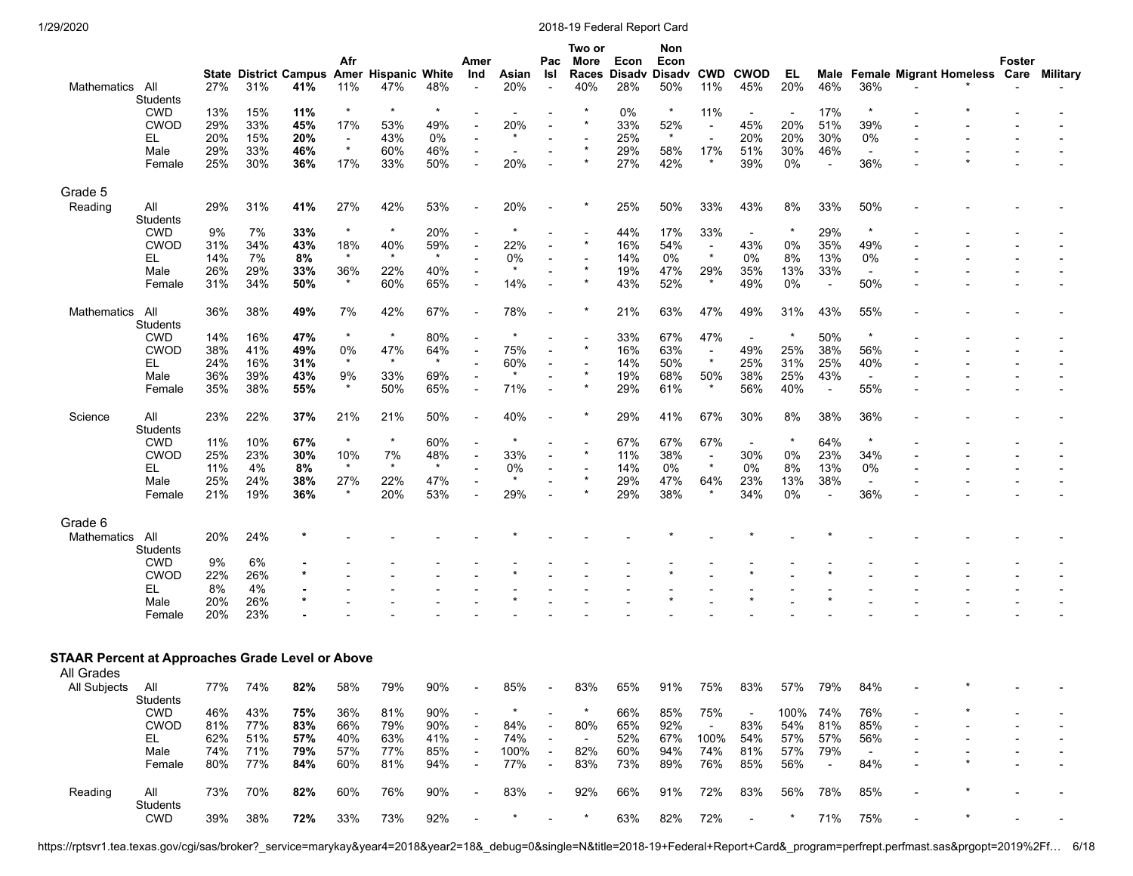| Mathematics All                                                       |                        | 27% | 31% | 41% | Afr<br>11%               | State District Campus Amer Hispanic White<br>47% | 48%             | Amer<br>Ind              | Asian<br>20%  | Pac<br>Isl<br>$\overline{\phantom{a}}$ | Two or<br>More<br>Races<br>40% | Econ<br><b>Disadv</b><br>28% | Non<br>Econ<br>Disadv<br>50% | <b>CWD</b><br>11%         | <b>CWOD</b><br>45%       | EL.<br>20% | 46%                      | 36%                      | Male Female Migrant Homeless Care | Foster | Military |
|-----------------------------------------------------------------------|------------------------|-----|-----|-----|--------------------------|--------------------------------------------------|-----------------|--------------------------|---------------|----------------------------------------|--------------------------------|------------------------------|------------------------------|---------------------------|--------------------------|------------|--------------------------|--------------------------|-----------------------------------|--------|----------|
|                                                                       | Students               |     |     |     |                          |                                                  |                 |                          |               |                                        |                                |                              |                              |                           |                          |            |                          |                          |                                   |        |          |
|                                                                       | <b>CWD</b>             | 13% | 15% | 11% | $\star$                  | $\star$                                          | $\star$         |                          |               |                                        |                                | 0%                           | $\star$                      | 11%                       | $\overline{\phantom{a}}$ |            | 17%                      | $\star$                  |                                   |        |          |
|                                                                       | <b>CWOD</b>            | 29% | 33% | 45% | 17%                      | 53%                                              | 49%             |                          | 20%           |                                        |                                | 33%                          | 52%                          | $\blacksquare$            | 45%                      | 20%        | 51%                      | 39%                      |                                   |        |          |
|                                                                       | EL.                    | 20% | 15% | 20% | $\overline{\phantom{a}}$ | 43%                                              | 0%              |                          | $\star$       |                                        |                                | 25%                          | $\star$                      |                           | 20%                      | 20%        | 30%                      | 0%                       |                                   |        |          |
|                                                                       | Male                   | 29% | 33% | 46% | $\star$                  | 60%                                              | 46%             |                          |               |                                        |                                | 29%                          | 58%                          | 17%                       | 51%                      | 30%        | 46%                      | $\overline{\phantom{a}}$ |                                   |        |          |
|                                                                       | Female                 | 25% | 30% | 36% | 17%                      | 33%                                              | 50%             |                          | 20%           |                                        |                                | 27%                          | 42%                          |                           | 39%                      | 0%         | $\overline{\phantom{a}}$ | 36%                      |                                   |        |          |
| Grade 5                                                               |                        |     |     |     |                          |                                                  |                 |                          |               |                                        |                                |                              |                              |                           |                          |            |                          |                          |                                   |        |          |
| Reading                                                               | All                    | 29% | 31% | 41% | 27%                      | 42%                                              | 53%             |                          | 20%           |                                        |                                | 25%                          | 50%                          | 33%                       | 43%                      | 8%         | 33%                      | 50%                      |                                   |        |          |
|                                                                       | Students<br><b>CWD</b> | 9%  | 7%  | 33% | $\star$                  | $\star$                                          | 20%             |                          |               |                                        |                                | 44%                          | 17%                          | 33%                       | $\overline{\phantom{a}}$ |            | 29%                      | $\star$                  |                                   |        |          |
|                                                                       | <b>CWOD</b>            | 31% | 34% | 43% | 18%                      | 40%                                              | 59%             |                          | 22%           |                                        | $\star$                        | 16%                          | 54%                          | $\blacksquare$            | 43%                      | 0%         | 35%                      | 49%                      |                                   |        |          |
|                                                                       | EL.                    | 14% | 7%  | 8%  | $\star$                  | $\star$                                          | $\star$         |                          | 0%            |                                        |                                | 14%                          | 0%                           | $\star$                   | 0%                       | 8%         | 13%                      | 0%                       |                                   |        |          |
|                                                                       | Male                   | 26% | 29% | 33% | 36%                      | 22%                                              | 40%             |                          | $\star$       |                                        | $\star$                        | 19%                          | 47%                          | 29%                       | 35%                      | 13%        | 33%                      | $\overline{\phantom{a}}$ |                                   |        |          |
|                                                                       | Female                 | 31% | 34% | 50% | $\star$                  | 60%                                              | 65%             |                          | 14%           |                                        |                                | 43%                          | 52%                          | $\star$                   | 49%                      | 0%         | $\blacksquare$           | 50%                      |                                   |        |          |
|                                                                       |                        |     |     |     |                          |                                                  |                 |                          |               |                                        |                                |                              |                              |                           |                          |            |                          |                          |                                   |        |          |
| Mathematics                                                           | All<br>Students        | 36% | 38% | 49% | 7%                       | 42%                                              | 67%             |                          | 78%           |                                        |                                | 21%                          | 63%                          | 47%                       | 49%                      | 31%        | 43%                      | 55%                      |                                   |        |          |
|                                                                       | <b>CWD</b>             | 14% | 16% | 47% | $^\star$                 | $\star$                                          | 80%             |                          |               |                                        |                                | 33%                          | 67%                          | 47%                       | $\overline{\phantom{a}}$ |            | 50%                      | $\star$                  |                                   |        |          |
|                                                                       | <b>CWOD</b>            | 38% | 41% | 49% | 0%                       | 47%                                              | 64%             |                          | 75%           |                                        |                                | 16%                          | 63%                          | $\blacksquare$            | 49%                      | 25%        | 38%                      | 56%                      |                                   |        |          |
|                                                                       | EL.                    | 24% | 16% | 31% | $\star$                  | $\star$                                          | $\star$         |                          | 60%           |                                        |                                | 14%                          | 50%                          | $\star$                   | 25%                      | 31%        | 25%                      | 40%                      |                                   |        |          |
|                                                                       | Male                   | 36% | 39% | 43% | 9%                       | 33%                                              | 69%             |                          | $\ast$        |                                        | $\star$                        | 19%                          | 68%                          | 50%                       | 38%                      | 25%        | 43%                      | $\overline{\phantom{a}}$ |                                   |        |          |
|                                                                       | Female                 | 35% | 38% | 55% | $\star$                  | 50%                                              | 65%             |                          | 71%           |                                        |                                | 29%                          | 61%                          | $\star$                   | 56%                      | 40%        | $\overline{\phantom{a}}$ | 55%                      |                                   |        |          |
| Science                                                               | All<br>Students        | 23% | 22% | 37% | 21%                      | 21%                                              | 50%             |                          | 40%           |                                        |                                | 29%                          | 41%                          | 67%                       | 30%                      | 8%         | 38%                      | 36%                      |                                   |        |          |
|                                                                       | <b>CWD</b>             | 11% | 10% | 67% | $\ast$                   | $\star$                                          | 60%             |                          | $\ast$        |                                        |                                | 67%                          | 67%                          | 67%                       |                          | $\ast$     | 64%                      | $\ast$                   |                                   |        |          |
|                                                                       |                        |     |     |     |                          |                                                  |                 |                          |               |                                        |                                |                              |                              |                           | $\overline{\phantom{a}}$ |            |                          |                          |                                   |        |          |
|                                                                       | <b>CWOD</b>            | 25% | 23% | 30% | 10%<br>$\star$           | 7%<br>$\star$                                    | 48%<br>$^\star$ |                          | 33%           |                                        |                                | 11%                          | 38%                          | $\blacksquare$<br>$\star$ | 30%                      | 0%<br>8%   | 23%                      | 34%                      |                                   |        |          |
|                                                                       | EL.                    | 11% | 4%  | 8%  |                          |                                                  |                 |                          | 0%<br>$\star$ |                                        |                                | 14%                          | 0%                           |                           | 0%                       |            | 13%                      | 0%                       |                                   |        |          |
|                                                                       | Male                   | 25% | 24% | 38% | 27%<br>$\star$           | 22%                                              | 47%             |                          |               |                                        |                                | 29%                          | 47%                          | 64%<br>$\star$            | 23%                      | 13%        | 38%                      | $\overline{\phantom{a}}$ |                                   |        |          |
|                                                                       | Female                 | 21% | 19% | 36% |                          | 20%                                              | 53%             |                          | 29%           |                                        |                                | 29%                          | 38%                          |                           | 34%                      | 0%         | $\blacksquare$           | 36%                      |                                   |        |          |
| Grade 6                                                               |                        |     |     |     |                          |                                                  |                 |                          |               |                                        |                                |                              |                              |                           |                          |            |                          |                          |                                   |        |          |
| Mathematics                                                           | All<br>Students        | 20% | 24% |     |                          |                                                  |                 |                          |               |                                        |                                |                              |                              |                           |                          |            |                          |                          |                                   |        |          |
|                                                                       | <b>CWD</b>             | 9%  | 6%  |     |                          |                                                  |                 |                          |               |                                        |                                |                              |                              |                           |                          |            |                          |                          |                                   |        |          |
|                                                                       | <b>CWOD</b>            | 22% | 26% |     |                          |                                                  |                 |                          |               |                                        |                                |                              |                              |                           |                          |            |                          |                          |                                   |        |          |
|                                                                       | EL.                    | 8%  | 4%  |     |                          |                                                  |                 |                          |               |                                        |                                |                              |                              |                           |                          |            |                          |                          |                                   |        |          |
|                                                                       | Male                   | 20% | 26% |     |                          |                                                  |                 |                          |               |                                        |                                |                              |                              |                           |                          |            |                          |                          |                                   |        |          |
|                                                                       | Female                 | 20% | 23% |     |                          |                                                  |                 |                          |               |                                        |                                |                              |                              |                           |                          |            |                          |                          |                                   |        |          |
|                                                                       |                        |     |     |     |                          |                                                  |                 |                          |               |                                        |                                |                              |                              |                           |                          |            |                          |                          |                                   |        |          |
| <b>STAAR Percent at Approaches Grade Level or Above</b><br>All Grades |                        |     |     |     |                          |                                                  |                 |                          |               |                                        |                                |                              |                              |                           |                          |            |                          |                          |                                   |        |          |
|                                                                       |                        | 77% | 74% |     |                          |                                                  |                 |                          |               |                                        |                                |                              |                              |                           |                          |            |                          |                          |                                   |        |          |
| All Subjects                                                          | All<br>Students        |     |     | 82% | 58%                      | 79%                                              | 90%             |                          | 85%           |                                        | 83%                            | 65%                          | 91%                          | 75%                       | 83%                      | 57%        | 79%                      | 84%                      |                                   |        |          |
|                                                                       | <b>CWD</b>             | 46% | 43% | 75% | 36%                      | 81%                                              | 90%             |                          |               |                                        |                                | 66%                          | 85%                          | 75%                       |                          | 100%       | 74%                      | 76%                      |                                   |        |          |
|                                                                       | <b>CWOD</b>            | 81% | 77% | 83% | 66%                      | 79%                                              | 90%             |                          | 84%           |                                        | 80%                            | 65%                          | 92%                          | $\sim$                    | 83%                      | 54%        | 81%                      | 85%                      |                                   |        |          |
|                                                                       | EL.                    | 62% | 51% | 57% | 40%                      | 63%                                              | 41%             | $\overline{\phantom{a}}$ | 74%           | $\overline{\phantom{a}}$               | $\sim$                         | 52%                          | 67%                          | 100%                      | 54%                      | 57%        | 57%                      | 56%                      |                                   |        |          |
|                                                                       | Male                   | 74% | 71% | 79% | 57%                      | 77%                                              | 85%             |                          | 100%          | $\overline{\phantom{a}}$               | 82%                            | 60%                          | 94%                          | 74%                       | 81%                      | 57%        | 79%                      | $\sim$                   |                                   |        |          |
|                                                                       | Female                 | 80% | 77% | 84% | 60%                      | 81%                                              | 94%             |                          | 77%           | $\blacksquare$                         | 83%                            | 73%                          | 89%                          | 76%                       | 85%                      | 56%        | $\overline{\phantom{a}}$ | 84%                      |                                   |        |          |
| Reading                                                               | aii<br>Students        | 73% | 70% | 82% | 60%                      | 76%                                              | 90%             |                          | 83%           | $\overline{\phantom{a}}$               | 92%                            | 66%                          | 91%                          | 72%                       | 83%                      | 56%        | 78%                      | 85%                      |                                   |        |          |
|                                                                       | <b>CWD</b>             | 39% | 38% | 72% | 33%                      | 73%                                              | 92%             |                          |               |                                        | $\ast$                         | 63%                          | 82%                          | 72%                       | $\overline{\phantom{a}}$ | $\star$    | 71%                      | 75%                      |                                   |        |          |

https://rptsvr1.tea.texas.gov/cgi/sas/broker?\_service=marykay&year4=2018&year2=18&\_debug=0&single=N&title=2018-19+Federal+Report+Card&\_program=perfrept.perfmast.sas&prgopt=2019%2Ff… 6/18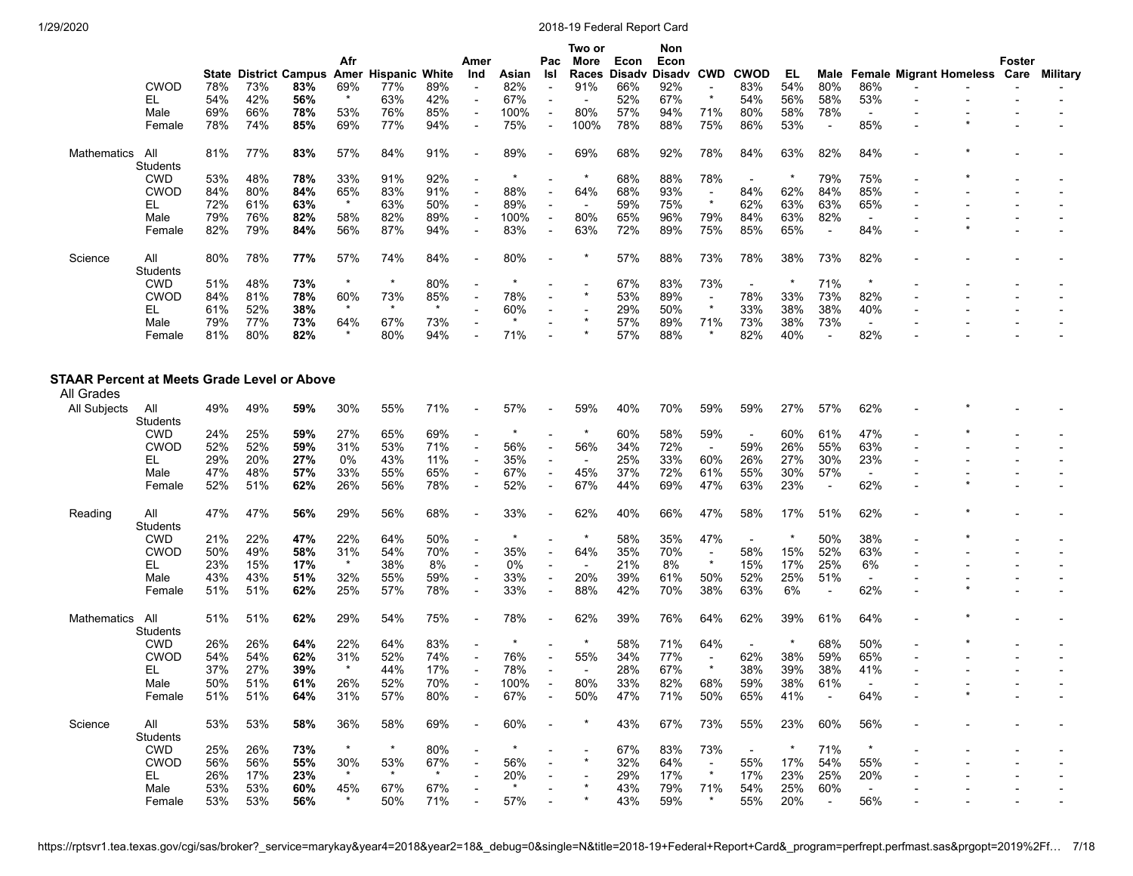|                                                           | <b>CWOD</b>     | 78%        | <b>State District Campus</b><br>73% | 83%        | Afr<br>69%     | Amer Hispanic White<br>77% | 89%        | Amer<br>Ind              | Asian<br>82% | Pac<br>Isl<br>$\blacksquare$ | Two or<br>More<br>Races<br>91% | Econ<br><b>Disadv</b><br>66% | Non<br>Econ<br><b>Disadv</b><br>92% | <b>CWD</b>                | <b>CWOD</b><br>83%       | EL<br>54%  | Male<br>80%              | 86%                             | <b>Female Migrant Homeless Care</b> | Foster | Military |
|-----------------------------------------------------------|-----------------|------------|-------------------------------------|------------|----------------|----------------------------|------------|--------------------------|--------------|------------------------------|--------------------------------|------------------------------|-------------------------------------|---------------------------|--------------------------|------------|--------------------------|---------------------------------|-------------------------------------|--------|----------|
|                                                           | EL.             | 54%        | 42%                                 | 56%        | $\star$        | 63%                        | 42%        | $\overline{\phantom{a}}$ | 67%          | $\overline{a}$               |                                | 52%                          | 67%                                 |                           | 54%                      | 56%        | 58%                      | 53%                             |                                     |        |          |
|                                                           | Male            | 69%        | 66%                                 | 78%        | 53%            | 76%                        | 85%        | $\overline{\phantom{a}}$ | 100%         | $\blacksquare$               | 80%                            | 57%                          | 94%                                 | 71%                       | 80%                      | 58%        | 78%                      | $\overline{\phantom{a}}$        |                                     |        |          |
|                                                           | Female          | 78%        | 74%                                 | 85%        | 69%            | 77%                        | 94%        |                          | 75%          | $\overline{\phantom{a}}$     | 100%                           | 78%                          | 88%                                 | 75%                       | 86%                      | 53%        | $\blacksquare$           | 85%                             |                                     |        |          |
| Mathematics                                               | All             | 81%        | 77%                                 | 83%        | 57%            | 84%                        | 91%        |                          | 89%          |                              | 69%                            | 68%                          | 92%                                 | 78%                       | 84%                      | 63%        | 82%                      | 84%                             |                                     |        |          |
|                                                           | Students        |            |                                     |            |                |                            |            |                          |              |                              |                                |                              |                                     |                           |                          |            |                          |                                 |                                     |        |          |
|                                                           | <b>CWD</b>      | 53%        | 48%                                 | 78%        | 33%            | 91%                        | 92%        |                          |              |                              | $\star$                        | 68%                          | 88%                                 | 78%                       | $\overline{\phantom{a}}$ | $\star$    | 79%                      | 75%                             |                                     |        |          |
|                                                           | <b>CWOD</b>     | 84%        | 80%                                 | 84%        | 65%<br>$\star$ | 83%                        | 91%        |                          | 88%          | $\overline{\phantom{a}}$     | 64%                            | 68%                          | 93%                                 | $\blacksquare$<br>$\star$ | 84%                      | 62%        | 84%                      | 85%                             |                                     |        |          |
|                                                           | EL.             | 72%        | 61%                                 | 63%        |                | 63%                        | 50%        |                          | 89%          | $\overline{\phantom{a}}$     |                                | 59%                          | 75%                                 |                           | 62%<br>84%               | 63%        | 63%                      | 65%                             |                                     |        |          |
|                                                           | Male<br>Female  | 79%<br>82% | 76%<br>79%                          | 82%<br>84% | 58%<br>56%     | 82%<br>87%                 | 89%<br>94% |                          | 100%<br>83%  | $\overline{\phantom{a}}$     | 80%                            | 65%<br>72%                   | 96%<br>89%                          | 79%<br>75%                | 85%                      | 63%<br>65% | 82%<br>$\blacksquare$    | $\overline{\phantom{a}}$<br>84% |                                     |        |          |
|                                                           |                 |            |                                     |            |                |                            |            |                          |              |                              | 63%                            |                              |                                     |                           |                          |            |                          |                                 |                                     |        |          |
| Science                                                   | All<br>Students | 80%        | 78%                                 | 77%        | 57%            | 74%                        | 84%        |                          | 80%          |                              |                                | 57%                          | 88%                                 | 73%                       | 78%                      | 38%        | 73%                      | 82%                             |                                     |        |          |
|                                                           | <b>CWD</b>      | 51%        | 48%                                 | 73%        | $\star$        | $\star$                    | 80%        |                          |              |                              |                                | 67%                          | 83%                                 | 73%                       |                          |            | 71%                      | $^\ast$                         |                                     |        |          |
|                                                           | <b>CWOD</b>     | 84%        | 81%                                 | 78%        | 60%            | 73%                        | 85%        |                          | 78%          |                              |                                | 53%                          | 89%                                 | $\blacksquare$            | 78%                      | 33%        | 73%                      | 82%                             |                                     |        |          |
|                                                           | EL.             | 61%        | 52%                                 | 38%        | $\star$        | $\star$                    | $\star$    |                          | 60%          |                              |                                | 29%                          | 50%                                 | $\star$                   | 33%                      | 38%        | 38%                      | 40%                             |                                     |        |          |
|                                                           | Male            | 79%        | 77%                                 | 73%        | 64%            | 67%                        | 73%        |                          |              |                              |                                | 57%                          | 89%                                 | 71%                       | 73%                      | 38%        | 73%                      | $\overline{\phantom{a}}$        |                                     |        |          |
|                                                           | Female          | 81%        | 80%                                 | 82%        |                | 80%                        | 94%        |                          | 71%          |                              |                                | 57%                          | 88%                                 |                           | 82%                      | 40%        | $\blacksquare$           | 82%                             |                                     |        |          |
| STAAR Percent at Meets Grade Level or Above<br>All Grades |                 |            |                                     |            |                |                            |            |                          |              |                              |                                |                              |                                     |                           |                          |            |                          |                                 |                                     |        |          |
| All Subjects                                              | All             | 49%        | 49%                                 | 59%        | 30%            | 55%                        | 71%        |                          | 57%          |                              | 59%                            | 40%                          | 70%                                 | 59%                       | 59%                      | 27%        | 57%                      | 62%                             |                                     |        |          |
|                                                           | Students        |            |                                     |            |                |                            |            |                          |              |                              |                                |                              |                                     |                           |                          |            |                          |                                 |                                     |        |          |
|                                                           | <b>CWD</b>      | 24%        | 25%                                 | 59%        | 27%            | 65%                        | 69%        |                          |              |                              |                                | 60%                          | 58%                                 | 59%                       | $\overline{\phantom{a}}$ | 60%        | 61%                      | 47%                             |                                     |        |          |
|                                                           | <b>CWOD</b>     | 52%        | 52%                                 | 59%        | 31%            | 53%                        | 71%        |                          | 56%          | $\overline{a}$               | 56%                            | 34%                          | 72%                                 | $\blacksquare$            | 59%                      | 26%        | 55%                      | 63%                             |                                     |        |          |
|                                                           | EL.             | 29%        | 20%                                 | 27%        | 0%             | 43%                        | 11%        |                          | 35%          | $\overline{\phantom{a}}$     |                                | 25%                          | 33%                                 | 60%                       | 26%                      | 27%        | 30%                      | 23%                             |                                     |        |          |
|                                                           | Male            | 47%        | 48%                                 | 57%        | 33%            | 55%                        | 65%        |                          | 67%          | $\blacksquare$               | 45%                            | 37%                          | 72%                                 | 61%                       | 55%                      | 30%        | 57%                      | $\overline{\phantom{a}}$        |                                     |        |          |
|                                                           | Female          | 52%        | 51%                                 | 62%        | 26%            | 56%                        | 78%        |                          | 52%          | $\overline{\phantom{a}}$     | 67%                            | 44%                          | 69%                                 | 47%                       | 63%                      | 23%        | $\blacksquare$           | 62%                             |                                     |        |          |
| Reading                                                   | All<br>Students | 47%        | 47%                                 | 56%        | 29%            | 56%                        | 68%        |                          | 33%          |                              | 62%                            | 40%                          | 66%                                 | 47%                       | 58%                      | 17%        | 51%                      | 62%                             |                                     |        |          |
|                                                           | <b>CWD</b>      | 21%        | 22%                                 | 47%        | 22%            | 64%                        | 50%        |                          | $\star$      |                              | $\star$                        | 58%                          | 35%                                 | 47%                       |                          | $\star$    | 50%                      | 38%                             |                                     |        |          |
|                                                           | <b>CWOD</b>     | 50%        | 49%                                 | 58%        | 31%            | 54%                        | 70%        |                          | 35%          | $\overline{\phantom{a}}$     | 64%                            | 35%                          | 70%                                 | $\blacksquare$            | 58%                      | 15%        | 52%                      | 63%                             |                                     |        |          |
|                                                           | EL              | 23%        | 15%                                 | 17%        | $\star$        | 38%                        | 8%         |                          | 0%           | $\blacksquare$               |                                | 21%                          | 8%                                  | $\star$                   | 15%                      | 17%        | 25%                      | 6%                              |                                     |        |          |
|                                                           | Male            | 43%        | 43%                                 | 51%        | 32%            | 55%                        | 59%        | $\overline{\phantom{a}}$ | 33%          | $\overline{\phantom{a}}$     | 20%                            | 39%                          | 61%                                 | 50%                       | 52%                      | 25%        | 51%                      | $\overline{\phantom{a}}$        |                                     |        |          |
|                                                           | Female          | 51%        | 51%                                 | 62%        | 25%            | 57%                        | 78%        |                          | 33%          | $\overline{\phantom{a}}$     | 88%                            | 42%                          | 70%                                 | 38%                       | 63%                      | 6%         | $\overline{\phantom{a}}$ | 62%                             |                                     |        |          |
| Mathematics                                               | All<br>Students | 51%        | 51%                                 | 62%        | 29%            | 54%                        | 75%        |                          | 78%          |                              | 62%                            | 39%                          | 76%                                 | 64%                       | 62%                      | 39%        | 61%                      | 64%                             |                                     |        |          |
|                                                           | <b>CWD</b>      | 26%        | 26%                                 | 64%        | 22%            | 64%                        | 83%        |                          |              |                              |                                | 58%                          | 71%                                 | 64%                       |                          |            | 68%                      | 50%                             |                                     |        |          |
|                                                           | <b>CWOD</b>     | 54%        | 54%                                 | 62%        | 31%            | 52%                        | 74%        |                          | 76%          |                              | 55%                            | 34%                          | 77%                                 |                           | 62%                      | 38%        | 59%                      | 65%                             |                                     |        |          |
|                                                           | EL              | 37%        | 27%                                 | 39%        | $\star$        | 44%                        | 17%        |                          | 78%          |                              |                                | 28%                          | 67%                                 |                           | 38%                      | 39%        | 38%                      | 41%                             |                                     |        |          |
|                                                           | Male            | 50%        | 51%                                 | 61%        | 26%            | 52%                        | 70%        |                          | 100%         |                              | 80%                            | 33%                          | 82%                                 | 68%                       | 59%                      | 38%        | 61%                      |                                 |                                     |        |          |
|                                                           | Female          | 51%        | 51%                                 | 64%        | 31%            | 57%                        | 80%        |                          | 67%          |                              | 50%                            | 47%                          | 71%                                 | 50%                       | 65%                      | 41%        |                          | 64%                             |                                     |        |          |
| Science                                                   | All<br>Students | 53%        | 53%                                 | 58%        | 36%            | 58%                        | 69%        |                          | 60%          |                              |                                | 43%                          | 67%                                 | 73%                       | 55%                      | 23%        | 60%                      | 56%                             |                                     |        |          |
|                                                           | <b>CWD</b>      | 25%        | 26%                                 | 73%        |                |                            | 80%        |                          |              |                              |                                | 67%                          | 83%                                 | 73%                       | $\overline{\phantom{a}}$ |            | 71%                      |                                 |                                     |        |          |
|                                                           | <b>CWOD</b>     | 56%        | 56%                                 | 55%        | 30%            | 53%                        | 67%        |                          | 56%          |                              | $\ast$                         | 32%                          | 64%                                 |                           | 55%                      | 17%        | 54%                      | 55%                             |                                     |        |          |
|                                                           | EL.             | 26%        | 17%                                 | 23%        |                | $\star$                    | $\star$    |                          | 20%          |                              |                                | 29%                          | 17%                                 | $\star$                   | 17%                      | 23%        | 25%                      | 20%                             |                                     |        |          |
|                                                           | Male            | 53%        | 53%                                 | 60%        | 45%            | 67%                        | 67%        |                          | $\star$      |                              |                                | 43%                          | 79%                                 | 71%                       | 54%                      | 25%        | 60%                      | $\sim$                          |                                     |        |          |
|                                                           | Female          | 53%        | 53%                                 | 56%        |                | 50%                        | 71%        |                          | 57%          |                              |                                | 43%                          | 59%                                 |                           | 55%                      | 20%        | $\sim$                   | 56%                             |                                     |        |          |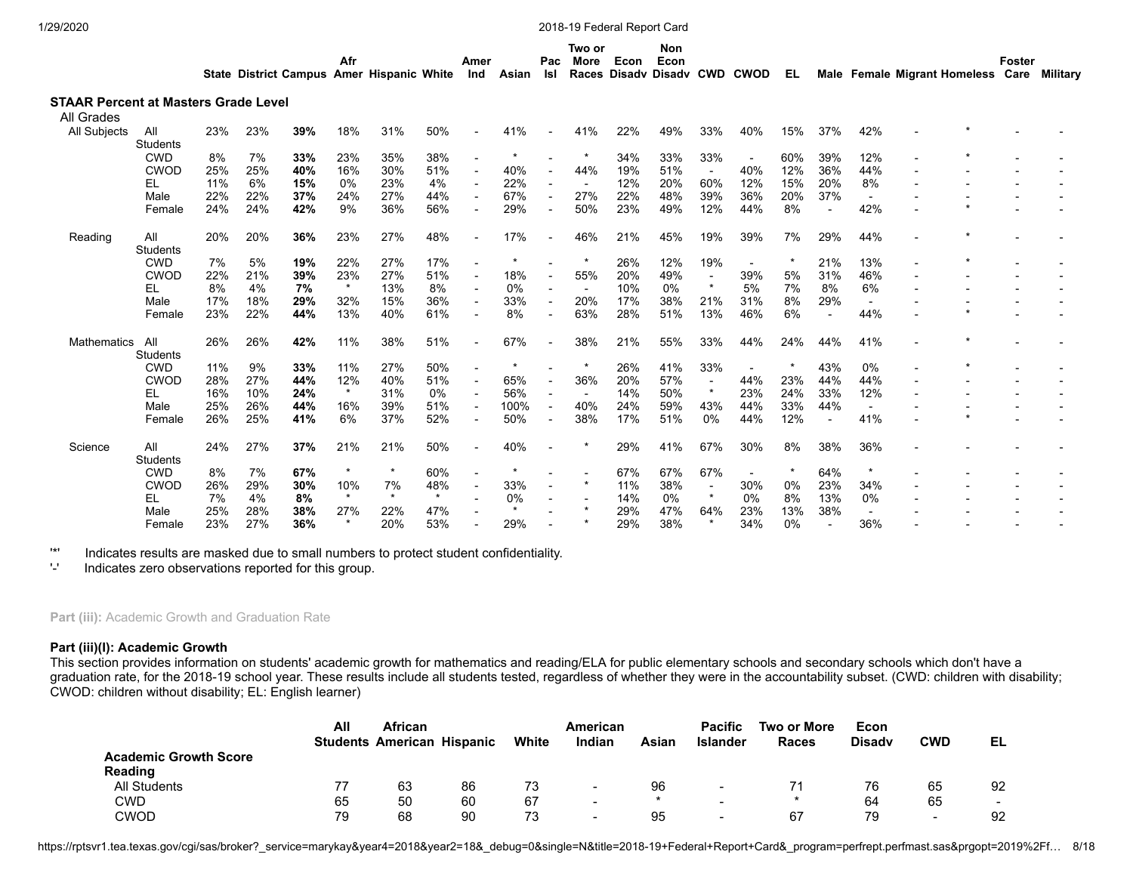|                                                    |                 |     |     |     | Afr | State District Campus Amer Hispanic White |     | Amer<br>Ind |     | Pac                      | Two or<br>More | Econ | Non<br>Econ |     | Asian Isl Races Disady Disady CWD CWOD | EL. |     |     | Male Female Migrant Homeless Care Military | Foster |  |
|----------------------------------------------------|-----------------|-----|-----|-----|-----|-------------------------------------------|-----|-------------|-----|--------------------------|----------------|------|-------------|-----|----------------------------------------|-----|-----|-----|--------------------------------------------|--------|--|
| STAAR Percent at Masters Grade Level<br>All Grades |                 |     |     |     |     |                                           |     |             |     |                          |                |      |             |     |                                        |     |     |     |                                            |        |  |
| All Subiects                                       | All<br>Students | 23% | 23% | 39% | 18% | 31%                                       | 50% | $\sim$      | 41% | $\sim$ $-$               | 41%            | 22%  | 49%         | 33% | 40%                                    | 15% | 37% | 42% |                                            |        |  |
|                                                    | CWD             | 8%  |     | 33% | 23% | 35%                                       | 38% |             |     | $\overline{\phantom{a}}$ |                | 34%  | 33%         | 33% | $\overline{\phantom{a}}$               | 60% | 39% | 12% |                                            |        |  |

|             | <b>CWD</b>      | 8%  | 7%  | 33% | 23%     | 35%     | 38%     |      |     | 34% | 33% | 33%                      |     | 60%     | 39% | 12% |  |  |
|-------------|-----------------|-----|-----|-----|---------|---------|---------|------|-----|-----|-----|--------------------------|-----|---------|-----|-----|--|--|
|             | <b>CWOD</b>     | 25% | 25% | 40% | 16%     | 30%     | 51%     | 40%  | 44% | 19% | 51% | $\overline{\phantom{a}}$ | 40% | 12%     | 36% | 44% |  |  |
|             | EL.             | 11% | 6%  | 15% | 0%      | 23%     | 4%      | 22%  |     | 12% | 20% | 60%                      | 12% | 15%     | 20% | 8%  |  |  |
|             | Male            | 22% | 22% | 37% | 24%     | 27%     | 44%     | 67%  | 27% | 22% | 48% | 39%                      | 36% | 20%     | 37% |     |  |  |
|             | Female          | 24% | 24% | 42% | 9%      | 36%     | 56%     | 29%  | 50% | 23% | 49% | 12%                      | 44% | 8%      |     | 42% |  |  |
| Reading     | All<br>Students | 20% | 20% | 36% | 23%     | 27%     | 48%     | 17%  | 46% | 21% | 45% | 19%                      | 39% | 7%      | 29% | 44% |  |  |
|             | <b>CWD</b>      | 7%  | 5%  | 19% | 22%     | 27%     | 17%     |      |     | 26% | 12% | 19%                      |     | $\star$ | 21% | 13% |  |  |
|             | <b>CWOD</b>     | 22% | 21% | 39% | 23%     | 27%     | 51%     | 18%  | 55% | 20% | 49% | $\overline{\phantom{0}}$ | 39% | 5%      | 31% | 46% |  |  |
|             | EL              | 8%  | 4%  | 7%  | $\star$ | 13%     | 8%      | 0%   |     | 10% | 0%  | $\star$                  | 5%  | 7%      | 8%  | 6%  |  |  |
|             | Male            | 17% | 18% | 29% | 32%     | 15%     | 36%     | 33%  | 20% | 17% | 38% | 21%                      | 31% | 8%      | 29% |     |  |  |
|             | Female          | 23% | 22% | 44% | 13%     | 40%     | 61%     | 8%   | 63% | 28% | 51% | 13%                      | 46% | 6%      |     | 44% |  |  |
| Mathematics | All             | 26% | 26% | 42% | 11%     | 38%     | 51%     | 67%  | 38% | 21% | 55% | 33%                      | 44% | 24%     | 44% | 41% |  |  |
|             | <b>Students</b> |     |     |     |         |         |         |      |     |     |     |                          |     |         |     |     |  |  |
|             | <b>CWD</b>      | 11% | 9%  | 33% | 11%     | 27%     | 50%     |      |     | 26% | 41% | 33%                      |     |         | 43% | 0%  |  |  |
|             | <b>CWOD</b>     | 28% | 27% | 44% | 12%     | 40%     | 51%     | 65%  | 36% | 20% | 57% | $\overline{\phantom{a}}$ | 44% | 23%     | 44% | 44% |  |  |
|             | EL.             | 16% | 10% | 24% |         | 31%     | 0%      | 56%  |     | 14% | 50% | $\star$                  | 23% | 24%     | 33% | 12% |  |  |
|             | Male            | 25% | 26% | 44% | 16%     | 39%     | 51%     | 100% | 40% | 24% | 59% | 43%                      | 44% | 33%     | 44% |     |  |  |
|             | Female          | 26% | 25% | 41% | 6%      | 37%     | 52%     | 50%  | 38% | 17% | 51% | 0%                       | 44% | 12%     |     | 41% |  |  |
| Science     | All<br>Students | 24% | 27% | 37% | 21%     | 21%     | 50%     | 40%  |     | 29% | 41% | 67%                      | 30% | 8%      | 38% | 36% |  |  |
|             | <b>CWD</b>      | 8%  | 7%  | 67% |         | $\star$ | 60%     |      |     | 67% | 67% | 67%                      |     |         | 64% |     |  |  |
|             | <b>CWOD</b>     | 26% | 29% | 30% | 10%     | 7%      | 48%     | 33%  |     | 11% | 38% | $\overline{\phantom{a}}$ | 30% | 0%      | 23% | 34% |  |  |
|             | EL              | 7%  | 4%  | 8%  |         | $\star$ | $\star$ | 0%   |     | 14% | 0%  | $\star$                  | 0%  | 8%      | 13% | 0%  |  |  |
|             | Male            | 25% | 28% | 38% | 27%     | 22%     | 47%     |      |     | 29% | 47% | 64%                      | 23% | 13%     | 38% |     |  |  |
|             | Female          | 23% | 27% | 36% | $\star$ | 20%     | 53%     | 29%  |     | 29% | 38% | $\star$                  | 34% | 0%      |     | 36% |  |  |
|             |                 |     |     |     |         |         |         |      |     |     |     |                          |     |         |     |     |  |  |

'\*' Indicates results are masked due to small numbers to protect student confidentiality.

Indicates zero observations reported for this group.

Part (iii): Academic Growth and Graduation Rate

### **Part (iii)(I): Academic Growth**

This section provides information on students' academic growth for mathematics and reading/ELA for public elementary schools and secondary schools which don't have a graduation rate, for the 2018-19 school year. These results include all students tested, regardless of whether they were in the accountability subset. (CWD: children with disability; CWOD: children without disability; EL: English learner)

|                              | All | <b>African</b><br><b>Students American Hispanic</b> |    | White | American<br>Indian       | Asian | <b>Pacific</b><br>Islander | Two or More<br><b>Races</b> | Econ<br><b>Disadv</b> | CWD                      | EL     |
|------------------------------|-----|-----------------------------------------------------|----|-------|--------------------------|-------|----------------------------|-----------------------------|-----------------------|--------------------------|--------|
| <b>Academic Growth Score</b> |     |                                                     |    |       |                          |       |                            |                             |                       |                          |        |
| <b>Reading</b>               |     |                                                     |    |       |                          |       |                            |                             |                       |                          |        |
| <b>All Students</b>          |     | 63                                                  | 86 | 73    |                          | 96    | $\overline{\phantom{a}}$   |                             | 76                    | 65                       | 92     |
| CWD                          | 65  | 50                                                  | 60 | 67    | $\overline{\phantom{0}}$ |       | $\overline{\phantom{0}}$   |                             | 64                    | 65                       | $\sim$ |
| CWOD                         | 79  | 68                                                  | 90 | 73    | -                        | 95    | $\overline{\phantom{0}}$   | 67                          | 79                    | $\overline{\phantom{a}}$ | 92     |

https://rptsvr1.tea.texas.gov/cgi/sas/broker?\_service=marykay&year4=2018&year2=18&\_debug=0&single=N&title=2018-19+Federal+Report+Card&\_program=perfrept.perfmast.sas&prgopt=2019%2Ff... 8/18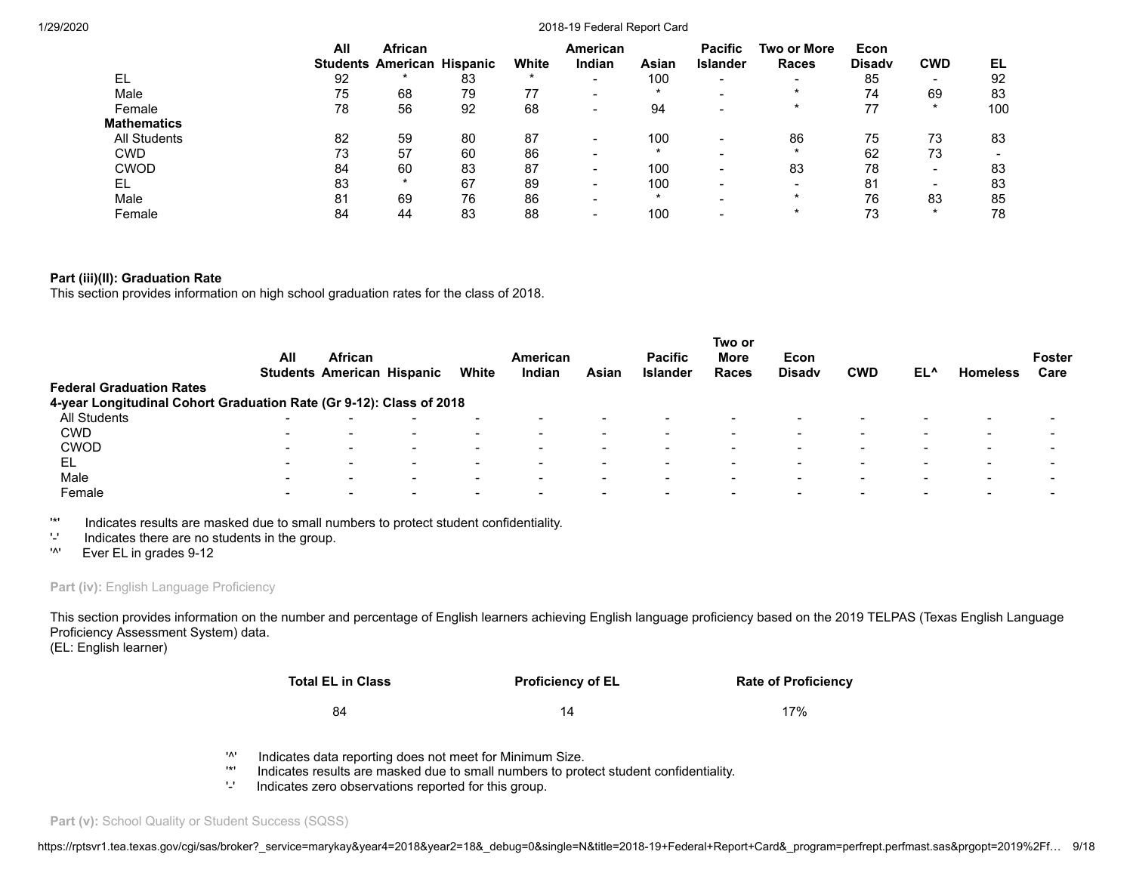|                     | All | African                           |    |       | American                 |         | <b>Pacific</b>  | Two or More              | Econ          |                          |     |
|---------------------|-----|-----------------------------------|----|-------|--------------------------|---------|-----------------|--------------------------|---------------|--------------------------|-----|
|                     |     | <b>Students American Hispanic</b> |    | White | Indian                   | Asian   | <b>Islander</b> | <b>Races</b>             | <b>Disady</b> | <b>CWD</b>               | EL  |
| EL                  | 92  |                                   | 83 |       | $\overline{\phantom{0}}$ | 100     | -               | $\overline{\phantom{0}}$ | 85            | $\overline{\phantom{0}}$ | 92  |
| Male                | 75  | 68                                | 79 | 77    | $\overline{\phantom{0}}$ | $\star$ |                 |                          | 74            | 69                       | 83  |
| Female              | 78  | 56                                | 92 | 68    | $\,$                     | 94      |                 |                          | 77            | $\ast$                   | 100 |
| <b>Mathematics</b>  |     |                                   |    |       |                          |         |                 |                          |               |                          |     |
| <b>All Students</b> | 82  | 59                                | 80 | 87    | $\overline{\phantom{0}}$ | 100     |                 | 86                       | 75            | 73                       | 83  |
| <b>CWD</b>          | 73  | 57                                | 60 | 86    | -                        |         |                 |                          | 62            | 73                       |     |
| <b>CWOD</b>         | 84  | 60                                | 83 | 87    | $\,$                     | 100     |                 | 83                       | 78            | $\,$                     | 83  |
| EL                  | 83  | $\ast$                            | 67 | 89    | $\,$                     | 100     |                 |                          | 81            | $\overline{\phantom{0}}$ | 83  |
| Male                | 81  | 69                                | 76 | 86    | $\overline{\phantom{0}}$ | $\ast$  |                 |                          | 76            | 83                       | 85  |
| Female              | 84  | 44                                | 83 | 88    | -                        | 100     |                 |                          | 73            | $\star$                  | 78  |

# **Part (iii)(II): Graduation Rate**

This section provides information on high school graduation rates for the class of 2018.

| <b>Federal Graduation Rates</b>                                     | All                      | <b>African</b>           | <b>Students American Hispanic</b> | White                    | American<br>Indian | Asian                    | <b>Pacific</b><br><b>Islander</b> | Two or<br>More<br>Races | Econ<br><b>Disady</b> | <b>CWD</b>               | EL^                      | <b>Homeless</b>          | <b>Foster</b><br>Care    |
|---------------------------------------------------------------------|--------------------------|--------------------------|-----------------------------------|--------------------------|--------------------|--------------------------|-----------------------------------|-------------------------|-----------------------|--------------------------|--------------------------|--------------------------|--------------------------|
| 4-year Longitudinal Cohort Graduation Rate (Gr 9-12): Class of 2018 |                          |                          |                                   |                          |                    |                          |                                   |                         |                       |                          |                          |                          |                          |
| All Students                                                        | $\overline{\phantom{0}}$ |                          | $\overline{\phantom{0}}$          |                          |                    | $\overline{\phantom{a}}$ |                                   |                         |                       | $\overline{\phantom{0}}$ |                          | $\overline{\phantom{0}}$ | $\overline{\phantom{0}}$ |
| <b>CWD</b>                                                          | $\overline{\phantom{0}}$ |                          | $\overline{\phantom{0}}$          | $\overline{\phantom{0}}$ |                    | $\overline{\phantom{0}}$ |                                   |                         |                       | -                        |                          |                          |                          |
| <b>CWOD</b>                                                         | $\overline{\phantom{0}}$ | $\overline{\phantom{0}}$ | $\overline{\phantom{0}}$          | $\overline{\phantom{0}}$ |                    | $\,$                     | $\overline{\phantom{0}}$          |                         |                       | $\overline{\phantom{0}}$ |                          | $\sim$                   |                          |
| EL                                                                  | $\overline{\phantom{0}}$ |                          | $\sim$                            | $\overline{\phantom{0}}$ |                    | $\overline{\phantom{0}}$ |                                   |                         |                       | $\overline{\phantom{0}}$ |                          | <b>.</b>                 |                          |
| Male                                                                | $\sim$                   | $\overline{\phantom{a}}$ | $\sim$                            | $\sim$                   |                    | $\overline{\phantom{0}}$ | $\overline{\phantom{0}}$          |                         |                       | $\sim$                   | $\overline{\phantom{a}}$ | $\sim$                   | $\sim$                   |
| Female                                                              | $\overline{\phantom{0}}$ |                          | $\overline{\phantom{0}}$          |                          |                    | $\,$                     |                                   |                         |                       | -                        |                          |                          |                          |

'\*' Indicates results are masked due to small numbers to protect student confidentiality.

- '-' Indicates there are no students in the group.
- '^' Ever EL in grades 9-12

# Part (iv): English Language Proficiency

This section provides information on the number and percentage of English learners achieving English language proficiency based on the 2019 TELPAS (Texas English Language Proficiency Assessment System) data.

(EL: English learner)

| Total EL in Class | <b>Proficiency of EL</b> | <b>Rate of Proficiency</b> |
|-------------------|--------------------------|----------------------------|
| 84                | 14                       | 17%                        |

- '<sup>\*</sup>' Indicates data reporting does not meet for Minimum Size.<br>'\*' Indicates results are masked due to small numbers to prof
- '\*' Indicates results are masked due to small numbers to protect student confidentiality.
- Indicates zero observations reported for this group.

Part (v): School Quality or Student Success (SQSS)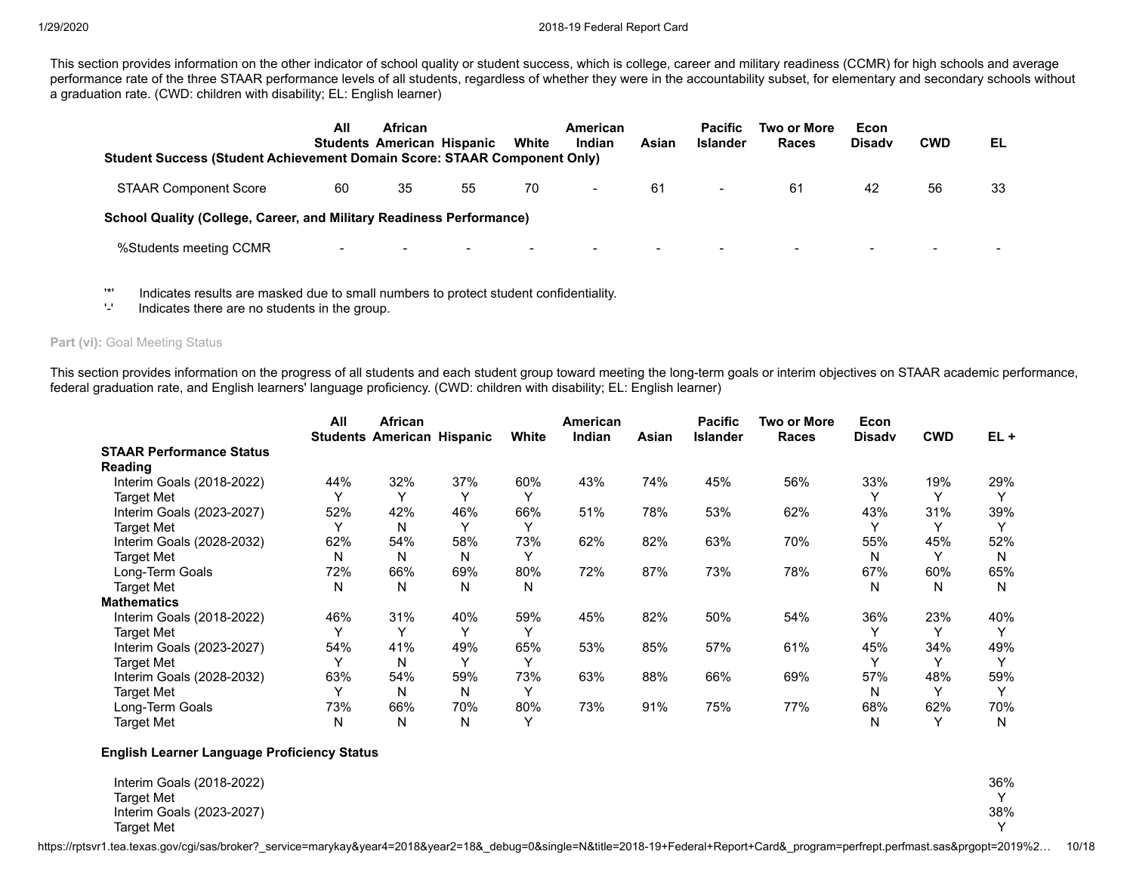This section provides information on the other indicator of school quality or student success, which is college, career and military readiness (CCMR) for high schools and average performance rate of the three STAAR performance levels of all students, regardless of whether they were in the accountability subset, for elementary and secondary schools without a graduation rate. (CWD: children with disability; EL: English learner)

| Student Success (Student Achievement Domain Score: STAAR Component Only)    | All | <b>African</b><br><b>Students American Hispanic</b> |                          | White                    | American<br>Indian       | Asian | <b>Pacific</b><br><b>Islander</b> | Two or More<br>Races | Econ<br><b>Disady</b>    | <b>CWD</b>               | EL |
|-----------------------------------------------------------------------------|-----|-----------------------------------------------------|--------------------------|--------------------------|--------------------------|-------|-----------------------------------|----------------------|--------------------------|--------------------------|----|
| <b>STAAR Component Score</b>                                                | 60  | 35                                                  | 55                       | 70                       | $\overline{\phantom{a}}$ | 61    | $\blacksquare$                    | 61                   | 42                       | 56                       | 33 |
| <b>School Quality (College, Career, and Military Readiness Performance)</b> |     |                                                     |                          |                          |                          |       |                                   |                      |                          |                          |    |
| %Students meeting CCMR                                                      |     | $\overline{\phantom{0}}$                            | $\overline{\phantom{0}}$ | $\overline{\phantom{0}}$ | $\overline{\phantom{a}}$ |       | $\overline{\phantom{0}}$          |                      | $\overline{\phantom{0}}$ | $\overline{\phantom{0}}$ |    |

'\*' Indicates results are masked due to small numbers to protect student confidentiality.

'-' Indicates there are no students in the group.

Part (vi): Goal Meeting Status

This section provides information on the progress of all students and each student group toward meeting the long-term goals or interim objectives on STAAR academic performance, federal graduation rate, and English learners' language proficiency. (CWD: children with disability; EL: English learner)

|                                 | All | <b>African</b>                    |              |       | <b>American</b> |       | <b>Pacific</b>  | Two or More | Econ          |              |        |
|---------------------------------|-----|-----------------------------------|--------------|-------|-----------------|-------|-----------------|-------------|---------------|--------------|--------|
|                                 |     | <b>Students American Hispanic</b> |              | White | Indian          | Asian | <b>Islander</b> | Races       | <b>Disadv</b> | <b>CWD</b>   | $EL +$ |
| <b>STAAR Performance Status</b> |     |                                   |              |       |                 |       |                 |             |               |              |        |
| <b>Reading</b>                  |     |                                   |              |       |                 |       |                 |             |               |              |        |
| Interim Goals (2018-2022)       | 44% | 32%                               | 37%          | 60%   | 43%             | 74%   | 45%             | 56%         | 33%           | 19%          | 29%    |
| <b>Target Met</b>               |     |                                   |              |       |                 |       |                 |             |               | ν            |        |
| Interim Goals (2023-2027)       | 52% | 42%                               | 46%          | 66%   | 51%             | 78%   | 53%             | 62%         | 43%           | 31%          | 39%    |
| <b>Target Met</b>               |     | N                                 | $\checkmark$ |       |                 |       |                 |             |               | $\checkmark$ |        |
| Interim Goals (2028-2032)       | 62% | 54%                               | 58%          | 73%   | 62%             | 82%   | 63%             | 70%         | 55%           | 45%          | 52%    |
| <b>Target Met</b>               | N   | Ν                                 | N            |       |                 |       |                 |             | N             |              | N      |
| Long-Term Goals                 | 72% | 66%                               | 69%          | 80%   | 72%             | 87%   | 73%             | 78%         | 67%           | 60%          | 65%    |
| <b>Target Met</b>               | N   | N                                 | N            | N     |                 |       |                 |             | N             | N            | N      |
| <b>Mathematics</b>              |     |                                   |              |       |                 |       |                 |             |               |              |        |
| Interim Goals (2018-2022)       | 46% | 31%                               | 40%          | 59%   | 45%             | 82%   | 50%             | 54%         | 36%           | 23%          | 40%    |
| <b>Target Met</b>               |     | $\checkmark$                      |              |       |                 |       |                 |             |               | $\check{ }$  |        |
| Interim Goals (2023-2027)       | 54% | 41%                               | 49%          | 65%   | 53%             | 85%   | 57%             | 61%         | 45%           | 34%          | 49%    |
| <b>Target Met</b>               |     | N                                 | v            |       |                 |       |                 |             |               | $\checkmark$ |        |
| Interim Goals (2028-2032)       | 63% | 54%                               | 59%          | 73%   | 63%             | 88%   | 66%             | 69%         | 57%           | 48%          | 59%    |
| <b>Target Met</b>               |     | N                                 | N            |       |                 |       |                 |             | N             | $\checkmark$ |        |
| Long-Term Goals                 | 73% | 66%                               | 70%          | 80%   | 73%             | 91%   | 75%             | 77%         | 68%           | 62%          | 70%    |
| <b>Target Met</b>               | N   | N                                 | N            |       |                 |       |                 |             | N             |              | N      |

# **English Learner Language Proficiency Status**

| Interim Goals (2018-2022) | 36% |
|---------------------------|-----|
| <b>Target Met</b>         |     |
| Interim Goals (2023-2027) | 38% |
| <b>Target Met</b>         |     |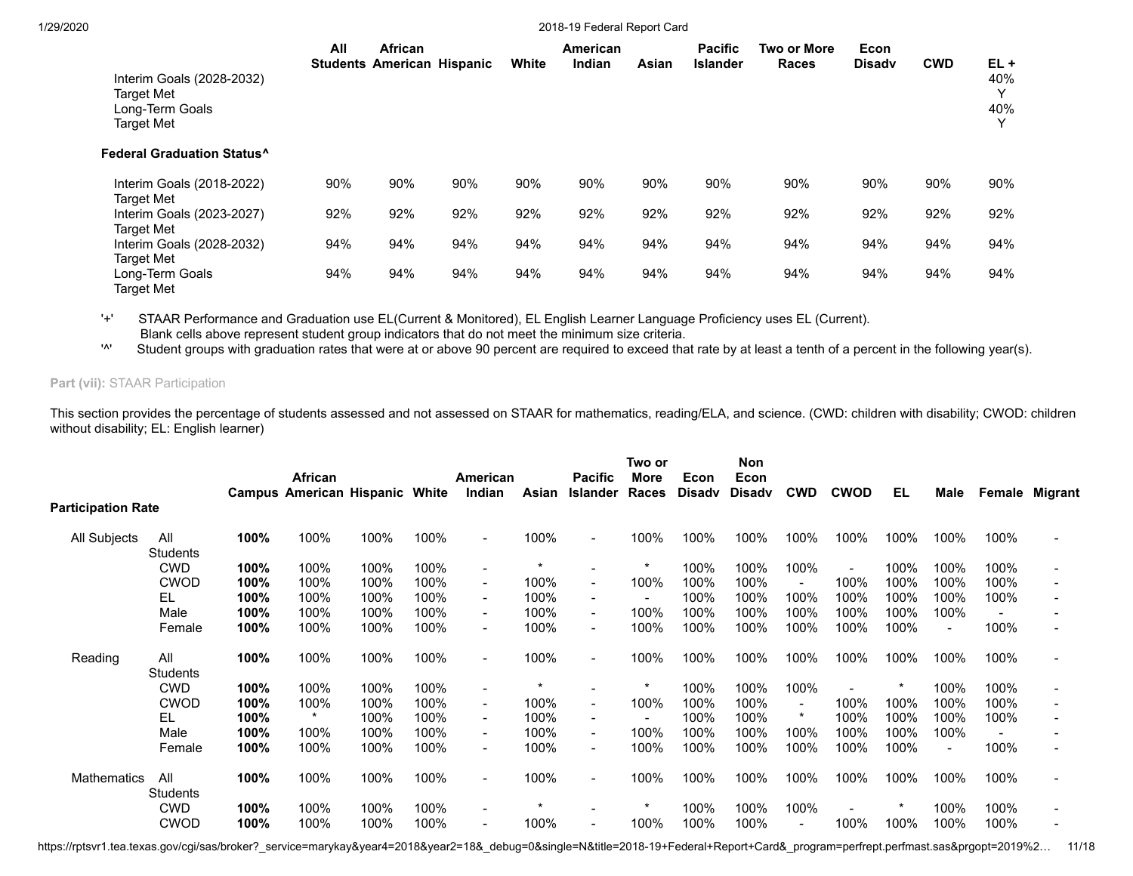| Interim Goals (2028-2032)<br>Target Met<br>Long-Term Goals<br><b>Target Met</b> | All | <b>African</b><br><b>Students American Hispanic</b> |     | White | <b>American</b><br>Indian | Asian | <b>Pacific</b><br>Islander | <b>Two or More</b><br><b>Races</b> | Econ<br><b>Disady</b> | <b>CWD</b> | $EL +$<br>40%<br>40% |
|---------------------------------------------------------------------------------|-----|-----------------------------------------------------|-----|-------|---------------------------|-------|----------------------------|------------------------------------|-----------------------|------------|----------------------|
| <b>Federal Graduation Status^</b>                                               |     |                                                     |     |       |                           |       |                            |                                    |                       |            |                      |
| Interim Goals (2018-2022)<br>Target Met                                         | 90% | 90%                                                 | 90% | 90%   | 90%                       | 90%   | 90%                        | 90%                                | 90%                   | 90%        | 90%                  |
| Interim Goals (2023-2027)<br><b>Target Met</b>                                  | 92% | 92%                                                 | 92% | 92%   | 92%                       | 92%   | 92%                        | 92%                                | 92%                   | 92%        | 92%                  |
| Interim Goals (2028-2032)<br><b>Target Met</b>                                  | 94% | 94%                                                 | 94% | 94%   | 94%                       | 94%   | 94%                        | 94%                                | 94%                   | 94%        | 94%                  |
| Long-Term Goals<br>Target Met                                                   | 94% | 94%                                                 | 94% | 94%   | 94%                       | 94%   | 94%                        | 94%                                | 94%                   | 94%        | 94%                  |

'+' STAAR Performance and Graduation use EL(Current & Monitored), EL English Learner Language Proficiency uses EL (Current). Blank cells above represent student group indicators that do not meet the minimum size criteria.

'^' Student groups with graduation rates that were at or above 90 percent are required to exceed that rate by at least a tenth of a percent in the following year(s).

# **Part (vii):** STAAR Participation

This section provides the percentage of students assessed and not assessed on STAAR for mathematics, reading/ELA, and science. (CWD: children with disability; CWOD: children without disability; EL: English learner)

| <b>Participation Rate</b> |                                    | <b>African</b> |      |      | American<br>Indian       | Asian                                         | <b>Pacific</b>           | Two or<br>More<br>Races | Econ<br><b>Disadv</b> | <b>Non</b><br>Econ<br><b>Disadv</b> | <b>CWD</b>               | <b>CWOD</b> | EL   | Male |      | Female Migrant |
|---------------------------|------------------------------------|----------------|------|------|--------------------------|-----------------------------------------------|--------------------------|-------------------------|-----------------------|-------------------------------------|--------------------------|-------------|------|------|------|----------------|
| All<br><b>Students</b>    | 100%                               | 100%           | 100% | 100% | $\overline{\phantom{a}}$ | 100%                                          |                          | 100%                    | 100%                  | 100%                                | 100%                     | 100%        | 100% | 100% | 100% |                |
| <b>CWD</b>                | 100%                               | 100%           | 100% | 100% | $\overline{\phantom{a}}$ | $\star$                                       |                          | ÷                       |                       | 100%                                | 100%                     |             | 100% | 100% | 100% |                |
| <b>CWOD</b>               | 100%                               | 100%           | 100% | 100% | $\overline{\phantom{a}}$ | 100%                                          | $\blacksquare$           | 100%                    | 100%                  | 100%                                |                          | 100%        | 100% | 100% | 100% |                |
| EL                        | 100%                               | 100%           | 100% | 100% | $\blacksquare$           | 100%                                          |                          |                         | 100%                  | 100%                                | 100%                     | 100%        | 100% | 100% | 100% |                |
| Male                      | 100%                               | 100%           | 100% | 100% | $\overline{\phantom{a}}$ | 100%                                          | $\blacksquare$           | 100%                    | 100%                  | 100%                                | 100%                     | 100%        | 100% | 100% |      |                |
| Female                    | 100%                               | 100%           | 100% | 100% |                          | 100%                                          |                          | 100%                    | 100%                  | 100%                                | 100%                     | 100%        | 100% |      | 100% |                |
| All                       | 100%                               | 100%           | 100% |      |                          | 100%                                          |                          | 100%                    | 100%                  | 100%                                | 100%                     | 100%        | 100% | 100% | 100% |                |
|                           |                                    |                |      |      | $\overline{\phantom{a}}$ | $\ast$                                        |                          |                         |                       |                                     |                          |             |      |      |      |                |
| <b>CWOD</b>               | 100%                               | 100%           | 100% | 100% | $\overline{\phantom{a}}$ | 100%                                          | $\overline{\phantom{a}}$ |                         | 100%                  | 100%                                | $\overline{\phantom{a}}$ | 100%        | 100% | 100% | 100% |                |
| EL                        | 100%                               | $\star$        | 100% | 100% | $\blacksquare$           | 100%                                          |                          |                         | 100%                  | 100%                                | $^\star$                 | 100%        | 100% | 100% | 100% |                |
| Male                      | 100%                               | 100%           | 100% | 100% | $\blacksquare$           | 100%                                          | $\overline{\phantom{a}}$ | 100%                    | 100%                  | 100%                                | 100%                     | 100%        | 100% | 100% |      |                |
| Female                    | 100%                               | 100%           | 100% | 100% | $\overline{\phantom{0}}$ | 100%                                          | $\sim$                   | 100%                    | 100%                  | 100%                                | 100%                     | 100%        | 100% |      | 100% |                |
| All                       | 100%                               | 100%           | 100% | 100% | $\blacksquare$           | 100%                                          |                          | 100%                    | 100%                  | 100%                                | 100%                     | 100%        | 100% | 100% | 100% |                |
| <b>CWD</b>                | 100%                               | 100%           | 100% | 100% | $\blacksquare$           |                                               |                          |                         | 100%                  | 100%                                | 100%                     |             |      | 100% | 100% |                |
| <b>CWOD</b>               | 100%                               | 100%           | 100% | 100% | $\overline{\phantom{a}}$ | 100%                                          |                          | 100%                    | 100%                  | 100%                                | $\overline{\phantom{a}}$ | 100%        | 100% | 100% | 100% |                |
|                           | Students<br><b>CWD</b><br>Students | 100%           | 100% | 100% | 100%                     | <b>Campus American Hispanic White</b><br>100% |                          |                         | Islander<br>100%      | 100%<br>100%                        | 100%                     | 100%        |      |      | 100% | 100%           |

https://rptsvr1.tea.texas.gov/cgi/sas/broker?\_service=marykay&year4=2018&year2=18&\_debug=0&single=N&title=2018-19+Federal+Report+Card&\_program=perfrept.perfmast.sas&prgopt=2019%2... 11/18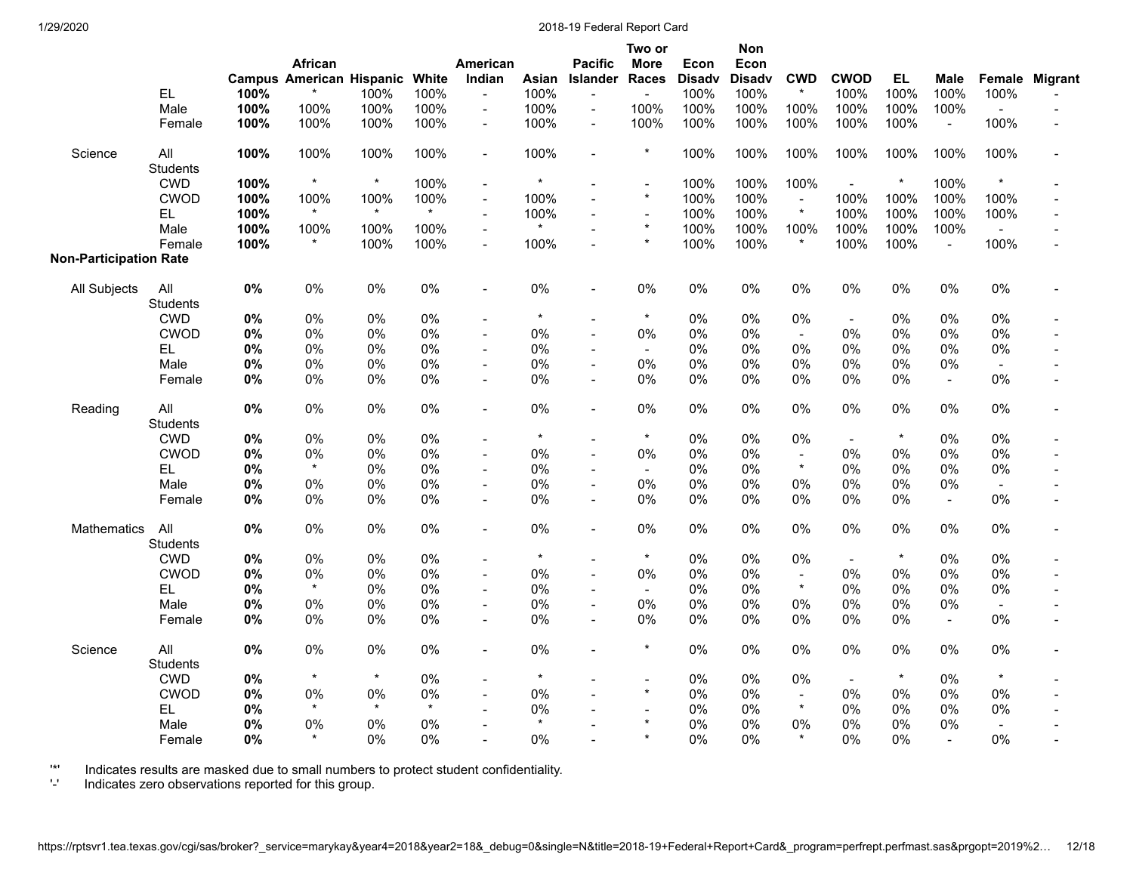|                               | EL.<br>Male<br>Female  | 100%<br>100%<br>100% | African<br><b>Campus American Hispanic</b><br>100%<br>100% | 100%<br>100%<br>100% | White<br>100%<br>100%<br>100% | American<br>Indian<br>$\blacksquare$<br>$\blacksquare$<br>$\overline{\phantom{a}}$ | Asian<br>100%<br>100%<br>100% | <b>Pacific</b><br><b>Islander</b><br>$\blacksquare$<br>$\sim$ | Two or<br><b>More</b><br><b>Races</b><br>$\frac{1}{2}$<br>100%<br>100% | Econ<br><b>Disady</b><br>100%<br>100%<br>100% | Non<br>Econ<br><b>Disadv</b><br>100%<br>100%<br>100% | <b>CWD</b><br>$\star$<br>100%<br>100% | <b>CWOD</b><br>100%<br>100%<br>100% | <b>EL</b><br>100%<br>100%<br>100% | <b>Male</b><br>100%<br>100%<br>$\blacksquare$ | 100%<br>$\overline{a}$<br>100% | Female Migrant |
|-------------------------------|------------------------|----------------------|------------------------------------------------------------|----------------------|-------------------------------|------------------------------------------------------------------------------------|-------------------------------|---------------------------------------------------------------|------------------------------------------------------------------------|-----------------------------------------------|------------------------------------------------------|---------------------------------------|-------------------------------------|-----------------------------------|-----------------------------------------------|--------------------------------|----------------|
| Science                       | All<br><b>Students</b> | 100%                 | 100%                                                       | 100%                 | 100%                          | $\overline{\phantom{a}}$                                                           | 100%                          | $\sim$                                                        | $\star$                                                                | 100%                                          | 100%                                                 | 100%                                  | 100%                                | 100%                              | 100%                                          | 100%                           |                |
|                               | <b>CWD</b>             | 100%                 | $\star$                                                    | $\star$              | 100%                          | $\overline{\phantom{a}}$                                                           | $^\star$                      |                                                               | $\overline{\phantom{a}}$                                               | 100%                                          | 100%                                                 | 100%                                  | $\overline{a}$                      | $^\star$                          | 100%                                          | $\star$                        |                |
|                               | <b>CWOD</b>            | 100%                 | 100%                                                       | 100%                 | 100%                          | $\overline{\phantom{a}}$                                                           | 100%                          |                                                               | $\star$                                                                | 100%                                          | 100%                                                 | $\blacksquare$                        | 100%                                | 100%                              | 100%                                          | 100%                           |                |
|                               | EL                     | 100%                 | $\star$                                                    | $\star$              | $\star$                       | $\overline{\phantom{a}}$                                                           | 100%                          |                                                               | $\blacksquare$                                                         | 100%                                          | 100%                                                 | $\star$                               | 100%                                | 100%                              | 100%                                          | 100%                           |                |
|                               | Male                   | 100%                 | 100%                                                       | 100%                 | 100%                          | $\overline{\phantom{a}}$                                                           | $\star$                       |                                                               | $\star$                                                                | 100%                                          | 100%                                                 | 100%                                  | 100%                                | 100%                              | 100%                                          | $\blacksquare$                 |                |
| <b>Non-Participation Rate</b> | Female                 | 100%                 | $\star$                                                    | 100%                 | 100%                          | $\blacksquare$                                                                     | 100%                          |                                                               | $\star$                                                                | 100%                                          | 100%                                                 | $\star$                               | 100%                                | 100%                              | $\overline{a}$                                | 100%                           |                |
| All Subjects                  | All<br><b>Students</b> | 0%                   | 0%                                                         | 0%                   | 0%                            | $\blacksquare$                                                                     | 0%                            |                                                               | 0%                                                                     | $0\%$                                         | 0%                                                   | 0%                                    | 0%                                  | 0%                                | 0%                                            | 0%                             |                |
|                               | <b>CWD</b>             | 0%                   | $0\%$                                                      | 0%                   | $0\%$                         | $\overline{a}$                                                                     | $\star$                       |                                                               | $\star$                                                                | $0\%$                                         | 0%                                                   | 0%                                    | $\overline{\phantom{a}}$            | 0%                                | 0%                                            | 0%                             |                |
|                               | <b>CWOD</b>            | 0%                   | $0\%$                                                      | 0%                   | 0%                            | $\frac{1}{2}$                                                                      | 0%                            |                                                               | 0%                                                                     | 0%                                            | 0%                                                   | $\blacksquare$                        | 0%                                  | 0%                                | 0%                                            | 0%                             |                |
|                               | EL                     | 0%                   | 0%                                                         | $0\%$                | $0\%$                         | $\blacksquare$                                                                     | 0%                            |                                                               | $\blacksquare$                                                         | 0%                                            | $0\%$                                                | 0%                                    | 0%                                  | 0%                                | 0%                                            | 0%                             |                |
|                               | Male                   | 0%                   | 0%                                                         | 0%                   | 0%                            | $\overline{a}$                                                                     | $0\%$                         |                                                               | 0%                                                                     | 0%                                            | 0%                                                   | $0\%$                                 | 0%                                  | 0%                                | 0%                                            | $\sim$                         |                |
|                               | Female                 | 0%                   | $0\%$                                                      | 0%                   | $0\%$                         | $\blacksquare$                                                                     | $0\%$                         | $\blacksquare$                                                | $0\%$                                                                  | 0%                                            | $0\%$                                                | $0\%$                                 | 0%                                  | 0%                                | $\blacksquare$                                | 0%                             |                |
| Reading                       | All<br>Students        | $0\%$                | 0%                                                         | 0%                   | $0\%$                         | $\overline{\phantom{a}}$                                                           | 0%                            | $\overline{\phantom{a}}$                                      | 0%                                                                     | 0%                                            | 0%                                                   | 0%                                    | 0%                                  | $0\%$                             | 0%                                            | 0%                             |                |
|                               | <b>CWD</b>             | 0%                   | 0%                                                         | 0%                   | $0\%$                         |                                                                                    | $\star$                       |                                                               | $\star$                                                                | $0\%$                                         | 0%                                                   | $0\%$                                 | $\overline{\phantom{a}}$            | $\star$                           | 0%                                            | 0%                             |                |
|                               | <b>CWOD</b>            | 0%                   | $0\%$                                                      | 0%                   | 0%                            | $\overline{\phantom{a}}$                                                           | 0%                            | $\sim$                                                        | 0%                                                                     | 0%                                            | 0%                                                   | $\blacksquare$                        | 0%                                  | 0%                                | 0%                                            | 0%                             |                |
|                               | EL                     | 0%                   | $\star$                                                    | 0%                   | $0\%$                         | $\overline{a}$                                                                     | $0\%$                         |                                                               | $\blacksquare$                                                         | 0%                                            | 0%                                                   | $\star$                               | 0%                                  | 0%                                | 0%                                            | 0%                             |                |
|                               | Male                   | 0%                   | 0%                                                         | 0%                   | $0\%$                         | $\blacksquare$                                                                     | 0%                            |                                                               | 0%                                                                     | 0%                                            | 0%                                                   | $0\%$                                 | 0%                                  | 0%                                | 0%                                            | $\blacksquare$                 |                |
|                               | Female                 | 0%                   | $0\%$                                                      | $0\%$                | $0\%$                         | $\overline{a}$                                                                     | $0\%$                         |                                                               | 0%                                                                     | 0%                                            | $0\%$                                                | 0%                                    | 0%                                  | $0\%$                             | $\blacksquare$                                | 0%                             |                |
| <b>Mathematics</b>            | All<br><b>Students</b> | 0%                   | 0%                                                         | 0%                   | $0\%$                         | $\overline{a}$                                                                     | 0%                            | $\sim$                                                        | 0%                                                                     | 0%                                            | 0%                                                   | 0%                                    | 0%                                  | 0%                                | 0%                                            | 0%                             |                |
|                               | <b>CWD</b>             | $0\%$                | 0%                                                         | 0%                   | $0\%$                         | $\overline{\phantom{a}}$                                                           | $\star$                       |                                                               | $\star$                                                                | 0%                                            | 0%                                                   | 0%                                    | $\blacksquare$                      | $\star$                           | 0%                                            | 0%                             |                |
|                               | <b>CWOD</b>            | 0%                   | $0\%$                                                      | 0%                   | 0%                            | $\overline{\phantom{a}}$                                                           | 0%                            |                                                               | 0%                                                                     | 0%                                            | 0%                                                   | $\blacksquare$                        | 0%                                  | 0%                                | 0%                                            | 0%                             |                |
|                               | <b>EL</b>              | 0%                   | $\star$                                                    | 0%                   | 0%                            | $\blacksquare$                                                                     | 0%                            |                                                               | $\blacksquare$                                                         | 0%                                            | 0%                                                   | $\star$                               | 0%                                  | 0%                                | 0%                                            | 0%                             |                |
|                               | Male                   | 0%                   | 0%                                                         | 0%                   | 0%                            | $\blacksquare$                                                                     | $0\%$                         | $\blacksquare$                                                | 0%                                                                     | 0%                                            | 0%                                                   | 0%                                    | 0%                                  | 0%                                | 0%                                            | $\blacksquare$                 |                |
|                               | Female                 | 0%                   | 0%                                                         | 0%                   | 0%                            | $\blacksquare$                                                                     | 0%                            |                                                               | 0%                                                                     | 0%                                            | 0%                                                   | 0%                                    | 0%                                  | 0%                                | $\sim$                                        | 0%                             |                |
| Science                       | All<br><b>Students</b> | 0%                   | 0%                                                         | 0%                   | 0%                            | $\blacksquare$                                                                     | 0%                            |                                                               | $\star$                                                                | 0%                                            | 0%                                                   | 0%                                    | 0%                                  | 0%                                | 0%                                            | 0%                             |                |
|                               | <b>CWD</b>             | 0%                   |                                                            | $\star$              | $0\%$                         | $\overline{\phantom{a}}$                                                           | $^\star$                      |                                                               | $\overline{\phantom{a}}$                                               | $0\%$                                         | 0%                                                   | $0\%$                                 | $\blacksquare$                      | $\ast$                            | 0%                                            |                                |                |
|                               | <b>CWOD</b>            | 0%                   | $0\%$                                                      | 0%                   | 0%                            |                                                                                    | 0%                            |                                                               | $\star$                                                                | $0\%$                                         | 0%                                                   | $\blacksquare$                        | 0%                                  | 0%                                | 0%                                            | 0%                             |                |
|                               | <b>EL</b>              | 0%                   |                                                            | $\star$              | $\star$                       |                                                                                    | 0%                            |                                                               |                                                                        | 0%                                            | 0%                                                   | $\star$                               | 0%                                  | 0%                                | 0%                                            | 0%                             |                |
|                               | Male                   | 0%                   | 0%                                                         | 0%                   | 0%                            |                                                                                    | $\star$                       |                                                               |                                                                        | 0%                                            | 0%                                                   | 0%                                    | 0%                                  | 0%                                | 0%                                            | $\overline{\phantom{a}}$       |                |
|                               | Female                 | $0\%$                |                                                            | 0%                   | 0%                            | $\overline{a}$                                                                     | 0%                            |                                                               | $\star$                                                                | 0%                                            | $0\%$                                                | $\star$                               | 0%                                  | 0%                                | $\overline{\phantom{a}}$                      | $0\%$                          |                |

'\*' Indicates results are masked due to small numbers to protect student confidentiality.

'-' Indicates zero observations reported for this group.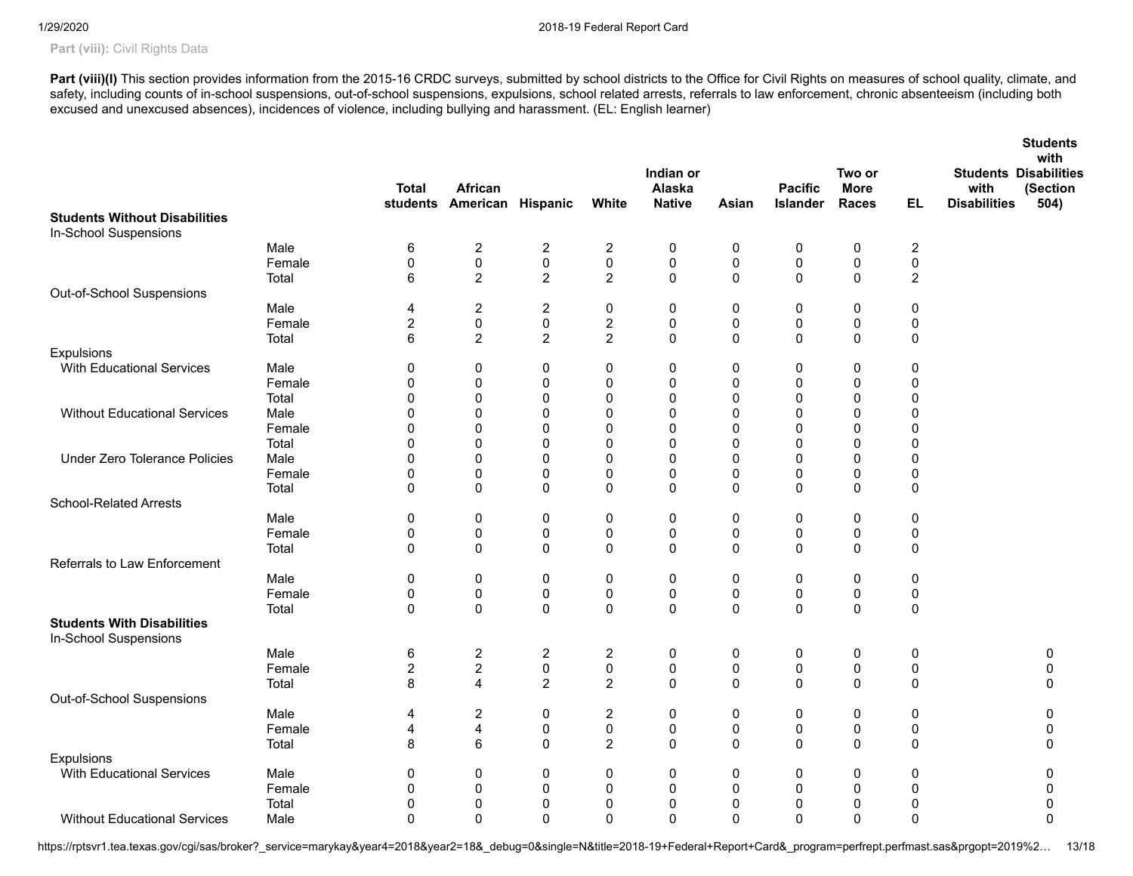# Part (viii): Civil Rights Data

Part (viii)(I) This section provides information from the 2015-16 CRDC surveys, submitted by school districts to the Office for Civil Rights on measures of school quality, climate, and safety, including counts of in-school suspensions, out-of-school suspensions, expulsions, school related arrests, referrals to law enforcement, chronic absenteeism (including both excused and unexcused absences), incidences of violence, including bullying and harassment. (EL: English learner)

|                                                            |        | <b>Total</b>            | <b>African</b><br>students American Hispanic |                         | White            | Indian or<br>Alaska<br><b>Native</b> | Asian        | <b>Pacific</b><br><b>Islander</b> | Two or<br><b>More</b><br><b>Races</b> | EL.              | <b>Students</b><br>with<br><b>Students Disabilities</b><br>(Section<br>with<br><b>Disabilities</b><br>504) |
|------------------------------------------------------------|--------|-------------------------|----------------------------------------------|-------------------------|------------------|--------------------------------------|--------------|-----------------------------------|---------------------------------------|------------------|------------------------------------------------------------------------------------------------------------|
| <b>Students Without Disabilities</b>                       |        |                         |                                              |                         |                  |                                      |              |                                   |                                       |                  |                                                                                                            |
| In-School Suspensions                                      |        |                         |                                              |                         |                  |                                      |              |                                   |                                       |                  |                                                                                                            |
|                                                            | Male   | 6                       | $\sqrt{2}$                                   | $\sqrt{2}$              | $\boldsymbol{2}$ | 0                                    | 0            | $\pmb{0}$                         | $\pmb{0}$                             | $\boldsymbol{2}$ |                                                                                                            |
|                                                            | Female | $\pmb{0}$               | $\pmb{0}$                                    | $\pmb{0}$               | $\pmb{0}$        | $\pmb{0}$                            | $\pmb{0}$    | $\pmb{0}$                         | $\pmb{0}$                             | $\pmb{0}$        |                                                                                                            |
|                                                            | Total  | 6                       | $\overline{c}$                               | $\overline{2}$          | $\sqrt{2}$       | 0                                    | $\mathbf 0$  | $\pmb{0}$                         | 0                                     | $\sqrt{2}$       |                                                                                                            |
| Out-of-School Suspensions                                  |        |                         |                                              |                         |                  |                                      |              |                                   |                                       |                  |                                                                                                            |
|                                                            | Male   | 4                       | $\overline{c}$                               | $\overline{\mathbf{c}}$ | $\pmb{0}$        | 0                                    | 0            | $\pmb{0}$                         | $\pmb{0}$                             | $\pmb{0}$        |                                                                                                            |
|                                                            | Female | $\overline{c}$          | $\pmb{0}$                                    | $\pmb{0}$               | $\sqrt{2}$       | 0                                    | $\pmb{0}$    | $\pmb{0}$                         | $\pmb{0}$                             | $\pmb{0}$        |                                                                                                            |
|                                                            | Total  | 6                       | $\boldsymbol{2}$                             | $\overline{c}$          | $\sqrt{2}$       | $\mathbf 0$                          | $\mathbf 0$  | $\mathbf 0$                       | $\mathbf 0$                           | 0                |                                                                                                            |
| Expulsions                                                 |        |                         |                                              |                         |                  |                                      |              |                                   |                                       |                  |                                                                                                            |
| With Educational Services                                  | Male   | 0                       | 0                                            | 0                       | 0                | 0                                    | 0            | 0                                 | 0                                     | 0                |                                                                                                            |
|                                                            | Female | $\mathbf 0$             | $\mathbf 0$                                  | 0                       | 0                | 0                                    | $\mathbf 0$  | $\mathbf 0$                       | $\mathbf 0$                           | 0                |                                                                                                            |
|                                                            | Total  | $\mathbf{0}$            | $\mathbf 0$                                  | $\mathbf 0$             | 0                | 0                                    | $\mathbf 0$  | $\Omega$                          | 0                                     | 0                |                                                                                                            |
|                                                            |        |                         |                                              |                         |                  |                                      |              |                                   |                                       |                  |                                                                                                            |
| <b>Without Educational Services</b>                        | Male   | 0                       | 0                                            | 0                       | 0                | 0                                    | 0            | 0                                 | $\mathbf 0$                           | 0                |                                                                                                            |
|                                                            | Female | 0                       | $\mathbf 0$                                  | 0                       | 0                | 0                                    | $\mathbf 0$  | $\mathbf 0$                       | 0                                     | 0                |                                                                                                            |
|                                                            | Total  | $\mathbf 0$             | $\mathbf 0$                                  | 0                       | 0                | 0                                    | $\mathbf 0$  | $\mathbf 0$                       | 0                                     | 0                |                                                                                                            |
| <b>Under Zero Tolerance Policies</b>                       | Male   | 0                       | $\mathbf 0$                                  | 0                       | 0                | 0                                    | $\mathbf 0$  | $\mathbf 0$                       | 0                                     | 0                |                                                                                                            |
|                                                            | Female | 0                       | 0                                            | 0                       | 0                | 0                                    | 0            | 0                                 | 0                                     | 0                |                                                                                                            |
|                                                            | Total  | 0                       | $\mathbf 0$                                  | $\mathbf 0$             | 0                | 0                                    | $\mathbf 0$  | 0                                 | 0                                     | 0                |                                                                                                            |
| <b>School-Related Arrests</b>                              |        |                         |                                              |                         |                  |                                      |              |                                   |                                       |                  |                                                                                                            |
|                                                            | Male   | 0                       | 0                                            | 0                       | 0                | 0                                    | 0            | 0                                 | 0                                     | 0                |                                                                                                            |
|                                                            | Female | $\pmb{0}$               | $\pmb{0}$                                    | $\pmb{0}$               | $\pmb{0}$        | $\pmb{0}$                            | $\pmb{0}$    | $\pmb{0}$                         | $\pmb{0}$                             | $\pmb{0}$        |                                                                                                            |
|                                                            | Total  | $\mathbf 0$             | $\mathbf 0$                                  | 0                       | 0                | 0                                    | $\mathbf 0$  | $\pmb{0}$                         | 0                                     | 0                |                                                                                                            |
| Referrals to Law Enforcement                               |        |                         |                                              |                         |                  |                                      |              |                                   |                                       |                  |                                                                                                            |
|                                                            | Male   | $\pmb{0}$               | 0                                            | $\pmb{0}$               | $\pmb{0}$        | 0                                    | 0            | $\pmb{0}$                         | $\pmb{0}$                             | $\pmb{0}$        |                                                                                                            |
|                                                            | Female | 0                       | $\pmb{0}$                                    | $\pmb{0}$               | 0                | $\pmb{0}$                            | $\pmb{0}$    | $\pmb{0}$                         | $\pmb{0}$                             | 0                |                                                                                                            |
|                                                            | Total  | $\mathbf 0$             | $\mathbf 0$                                  | $\mathbf 0$             | $\pmb{0}$        | 0                                    | $\mathbf 0$  | $\pmb{0}$                         | 0                                     | $\pmb{0}$        |                                                                                                            |
| <b>Students With Disabilities</b><br>In-School Suspensions |        |                         |                                              |                         |                  |                                      |              |                                   |                                       |                  |                                                                                                            |
|                                                            | Male   | $\,6$                   | $\boldsymbol{2}$                             | $\boldsymbol{2}$        | $\sqrt{2}$       | 0                                    | $\pmb{0}$    | $\pmb{0}$                         | $\pmb{0}$                             | $\pmb{0}$        | $\pmb{0}$                                                                                                  |
|                                                            | Female | $\overline{\mathbf{c}}$ | $\boldsymbol{2}$                             | $\pmb{0}$               | $\pmb{0}$        | 0                                    | 0            | $\pmb{0}$                         | 0                                     | 0                | $\mathbf 0$                                                                                                |
|                                                            | Total  | 8                       | $\overline{4}$                               | $\overline{2}$          | $\overline{2}$   | $\mathbf{0}$                         | $\Omega$     | $\mathbf 0$                       | $\mathbf 0$                           | $\mathbf 0$      | $\Omega$                                                                                                   |
| Out-of-School Suspensions                                  |        |                         |                                              |                         |                  |                                      |              |                                   |                                       |                  |                                                                                                            |
|                                                            | Male   | 4                       | $\overline{c}$                               | $\pmb{0}$               | $\boldsymbol{2}$ | 0                                    | 0            | $\pmb{0}$                         | 0                                     | 0                | $\mathbf 0$                                                                                                |
|                                                            | Female | 4                       | $\overline{\mathbf{4}}$                      | 0                       | 0                | 0                                    | 0            | 0                                 | 0                                     | 0                | 0                                                                                                          |
|                                                            | Total  | 8                       | 6                                            | $\mathbf 0$             | $\overline{c}$   | 0                                    | $\mathbf 0$  | $\mathbf 0$                       | $\mathbf 0$                           | 0                | $\mathbf 0$                                                                                                |
| Expulsions                                                 |        |                         |                                              |                         |                  |                                      |              |                                   |                                       |                  |                                                                                                            |
| <b>With Educational Services</b>                           | Male   | 0                       |                                              |                         |                  |                                      |              |                                   |                                       |                  |                                                                                                            |
|                                                            |        |                         | 0                                            | 0                       | 0                | 0                                    | 0            | 0                                 | 0                                     | 0                | 0                                                                                                          |
|                                                            | Female | 0                       | $\mathbf 0$                                  | 0                       | 0                | 0                                    | $\mathbf 0$  | 0                                 | 0                                     | 0                | $\mathbf 0$                                                                                                |
|                                                            | Total  | 0                       | $\mathbf 0$                                  | $\mathbf 0$             | 0                | 0                                    | $\mathbf 0$  | $\mathbf 0$                       | 0                                     | 0                | $\mathbf 0$                                                                                                |
| <b>Without Educational Services</b>                        | Male   | $\mathbf{0}$            | $\Omega$                                     | $\mathbf{0}$            | 0                | $\mathbf{0}$                         | $\mathbf{0}$ | $\mathbf 0$                       | 0                                     | 0                | $\mathbf 0$                                                                                                |

https://rptsvr1.tea.texas.gov/cgi/sas/broker?\_service=marykay&year4=2018&year2=18&\_debug=0&single=N&title=2018-19+Federal+Report+Card&\_program=perfrept.perfmast.sas&prgopt=2019%2... 13/18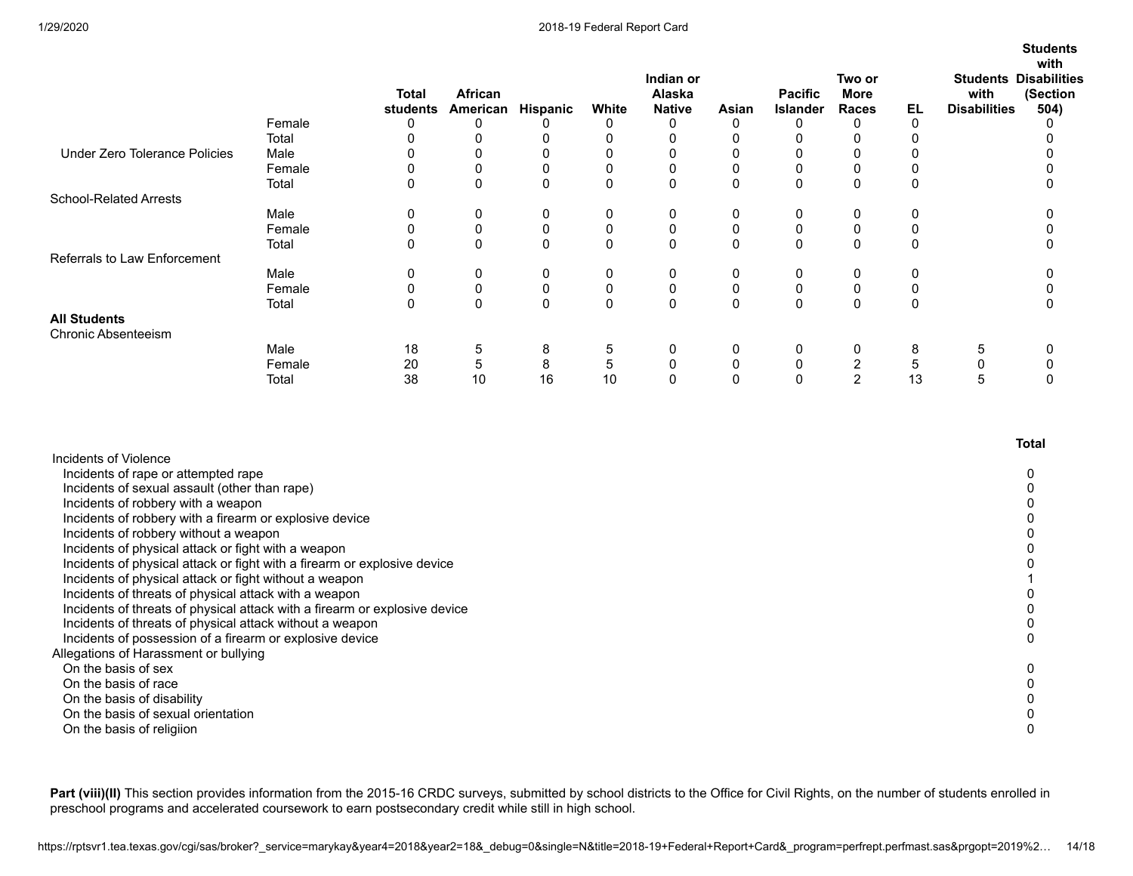|                                            |        |                          |                     |                 |           |                                      |          |                                   |                         |          |                             | <b>Students</b>                                          |
|--------------------------------------------|--------|--------------------------|---------------------|-----------------|-----------|--------------------------------------|----------|-----------------------------------|-------------------------|----------|-----------------------------|----------------------------------------------------------|
|                                            |        | <b>Total</b><br>students | African<br>American | <b>Hispanic</b> | White     | Indian or<br>Alaska<br><b>Native</b> | Asian    | <b>Pacific</b><br><b>Islander</b> | Two or<br>More<br>Races | EL       | with<br><b>Disabilities</b> | with<br><b>Students Disabilities</b><br>(Section<br>504) |
|                                            | Female | 0                        | 0                   |                 | 0         | 0                                    |          | 0                                 | 0                       | 0        |                             |                                                          |
|                                            | Total  |                          | 0                   |                 | 0         | 0                                    |          |                                   |                         |          |                             |                                                          |
| <b>Under Zero Tolerance Policies</b>       | Male   |                          |                     |                 | 0         | 0                                    |          |                                   |                         |          |                             |                                                          |
|                                            | Female | 0                        | 0                   |                 | 0         | 0                                    |          | 0                                 | 0                       |          |                             |                                                          |
|                                            | Total  | 0                        | 0                   |                 | 0         | 0                                    | $\Omega$ | $\mathbf 0$                       | $\Omega$                | 0        |                             |                                                          |
| <b>School-Related Arrests</b>              |        |                          |                     |                 |           |                                      |          |                                   |                         |          |                             |                                                          |
|                                            | Male   | 0                        | 0                   | 0               | 0         | 0                                    | 0        | 0                                 | 0                       | 0        |                             |                                                          |
|                                            | Female | 0                        | 0                   | 0               | 0         | $\mathbf 0$                          |          | $\pmb{0}$                         | $\mathbf 0$             | 0        |                             |                                                          |
|                                            | Total  | 0                        | $\mathbf{0}$        | $\Omega$        | 0         | $\mathbf{0}$                         | $\Omega$ | $\mathbf 0$                       | $\Omega$                | $\Omega$ |                             |                                                          |
| Referrals to Law Enforcement               |        |                          |                     |                 |           |                                      |          |                                   |                         |          |                             |                                                          |
|                                            | Male   | 0                        | 0                   | 0               | 0         | 0                                    | 0        | 0                                 | 0                       | 0        |                             |                                                          |
|                                            | Female | 0                        | 0                   | 0               | $\pmb{0}$ | 0                                    |          | $\pmb{0}$                         | 0                       | 0        |                             |                                                          |
|                                            | Total  | 0                        | 0                   |                 | 0         | 0                                    |          | $\mathbf 0$                       | $\Omega$                | 0        |                             |                                                          |
| <b>All Students</b><br>Chronic Absenteeism |        |                          |                     |                 |           |                                      |          |                                   |                         |          |                             |                                                          |
|                                            | Male   | 18                       | 5                   | 8               | 5         | 0                                    | 0        | 0                                 | 0                       | 8        |                             |                                                          |
|                                            | Female | 20                       | 5                   | 8               | 5         | 0                                    |          | $\mathbf 0$                       | 2                       | 5        |                             |                                                          |
|                                            | Total  | 38                       | 10                  | 16              | 10        | 0                                    |          | 0                                 | 2                       | 13       | :C                          |                                                          |

|                                                                            | Total |
|----------------------------------------------------------------------------|-------|
| Incidents of Violence                                                      |       |
| Incidents of rape or attempted rape                                        |       |
| Incidents of sexual assault (other than rape)                              |       |
| Incidents of robbery with a weapon                                         |       |
| Incidents of robbery with a firearm or explosive device                    |       |
| Incidents of robbery without a weapon                                      |       |
| Incidents of physical attack or fight with a weapon                        |       |
| Incidents of physical attack or fight with a firearm or explosive device   |       |
| Incidents of physical attack or fight without a weapon                     |       |
| Incidents of threats of physical attack with a weapon                      |       |
| Incidents of threats of physical attack with a firearm or explosive device |       |
| Incidents of threats of physical attack without a weapon                   |       |
| Incidents of possession of a firearm or explosive device                   |       |
| Allegations of Harassment or bullying                                      |       |
| On the basis of sex                                                        |       |
| On the basis of race                                                       |       |
| On the basis of disability                                                 |       |
| On the basis of sexual orientation                                         |       |
| On the basis of religiion                                                  |       |

Part (viii)(II) This section provides information from the 2015-16 CRDC surveys, submitted by school districts to the Office for Civil Rights, on the number of students enrolled in preschool programs and accelerated coursework to earn postsecondary credit while still in high school.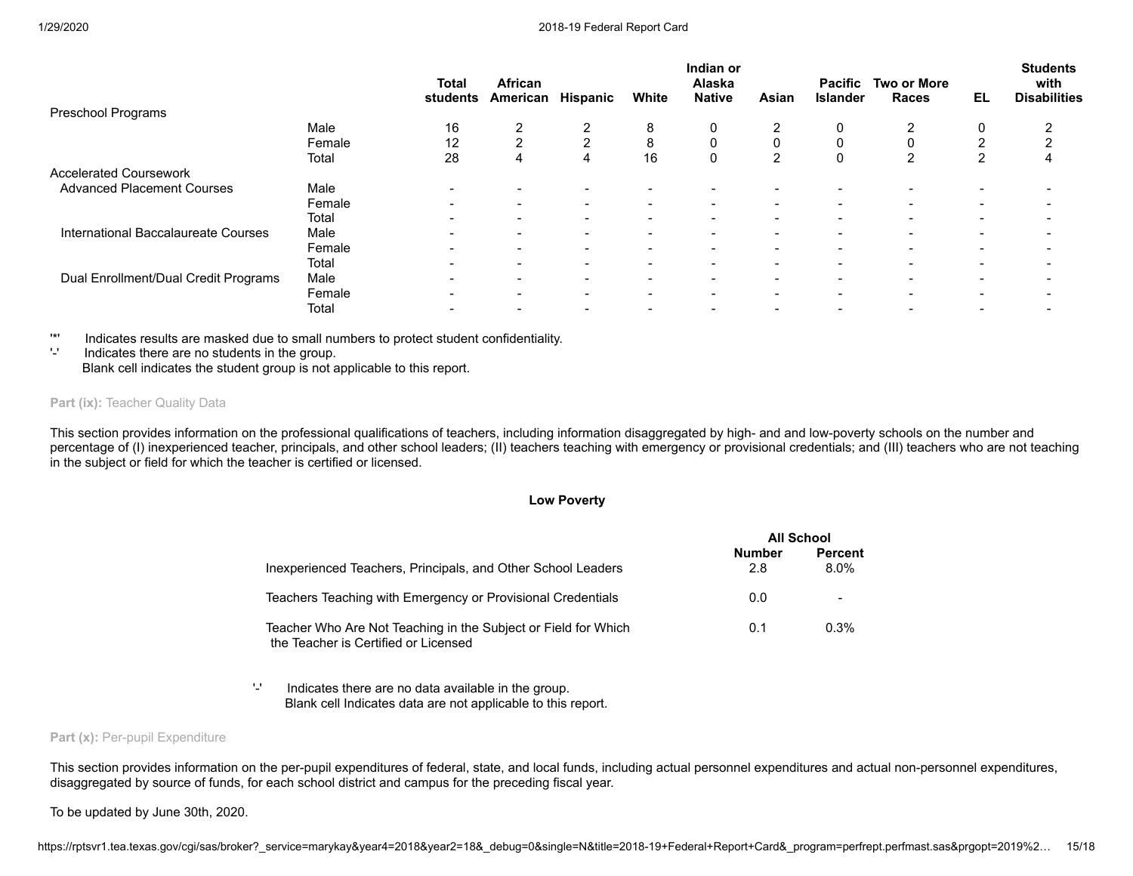|                                      |        | <b>Total</b><br>students | African<br>American | <b>Hispanic</b>          | White                    | Indian or<br>Alaska<br><b>Native</b> | Asian                    | <b>Pacific</b><br><b>Islander</b> | <b>Two or More</b><br><b>Races</b> | EL                       | <b>Students</b><br>with<br><b>Disabilities</b> |
|--------------------------------------|--------|--------------------------|---------------------|--------------------------|--------------------------|--------------------------------------|--------------------------|-----------------------------------|------------------------------------|--------------------------|------------------------------------------------|
| <b>Preschool Programs</b>            |        |                          |                     |                          |                          |                                      |                          |                                   |                                    |                          |                                                |
|                                      | Male   | 16                       | 2                   |                          | 8                        | 0                                    | 2                        |                                   | $\overline{2}$                     |                          |                                                |
|                                      | Female | 12                       | っ                   | ົ                        | 8                        | 0                                    | 0                        |                                   | $\Omega$                           |                          |                                                |
|                                      | Total  | 28                       | 4                   | 4                        | 16                       | 0                                    | 2                        | $\mathbf{0}$                      | $\overline{2}$                     |                          | 4                                              |
| <b>Accelerated Coursework</b>        |        |                          |                     |                          |                          |                                      |                          |                                   |                                    |                          |                                                |
| <b>Advanced Placement Courses</b>    | Male   |                          |                     |                          | $\overline{\phantom{a}}$ |                                      |                          |                                   |                                    |                          |                                                |
|                                      | Female |                          |                     | $\overline{\phantom{0}}$ | $\overline{\phantom{a}}$ | -                                    | $\overline{\phantom{0}}$ | -                                 | -                                  | -                        |                                                |
|                                      | Total  |                          |                     | $\overline{\phantom{0}}$ | $\overline{\phantom{a}}$ |                                      | $\overline{\phantom{a}}$ |                                   | -                                  | -                        |                                                |
| International Baccalaureate Courses  | Male   | $\overline{\phantom{0}}$ | $\,$                | $\blacksquare$           | $\blacksquare$           | $\blacksquare$                       | $\overline{\phantom{a}}$ | -                                 | $\,$                               | $\blacksquare$           |                                                |
|                                      | Female |                          |                     | $\overline{\phantom{0}}$ | $\,$                     | -                                    | $\overline{\phantom{a}}$ | -                                 | -                                  | $\,$                     |                                                |
|                                      | Total  |                          |                     |                          | $\overline{\phantom{0}}$ |                                      | $\overline{\phantom{0}}$ |                                   | -                                  | -                        |                                                |
| Dual Enrollment/Dual Credit Programs | Male   |                          |                     |                          | ۰                        |                                      |                          |                                   |                                    | $\overline{\phantom{0}}$ |                                                |
|                                      | Female | $\overline{\phantom{0}}$ |                     | $\overline{\phantom{0}}$ | $\overline{\phantom{0}}$ | -                                    | $\overline{\phantom{0}}$ | $\overline{\phantom{0}}$          | -                                  | $\overline{\phantom{0}}$ |                                                |
|                                      | Total  |                          |                     |                          |                          |                                      |                          |                                   |                                    |                          |                                                |

'\*' Indicates results are masked due to small numbers to protect student confidentiality.

'-' Indicates there are no students in the group. Blank cell indicates the student group is not applicable to this report.

# **Part (ix): Teacher Quality Data**

This section provides information on the professional qualifications of teachers, including information disaggregated by high- and and low-poverty schools on the number and percentage of (I) inexperienced teacher, principals, and other school leaders; (II) teachers teaching with emergency or provisional credentials; and (III) teachers who are not teaching in the subject or field for which the teacher is certified or licensed.

### **Low Poverty**

|                                                                                                        | <b>All School</b>    |                           |
|--------------------------------------------------------------------------------------------------------|----------------------|---------------------------|
| Inexperienced Teachers, Principals, and Other School Leaders                                           | <b>Number</b><br>2.8 | <b>Percent</b><br>$8.0\%$ |
| Teachers Teaching with Emergency or Provisional Credentials                                            | 0.0                  |                           |
| Teacher Who Are Not Teaching in the Subject or Field for Which<br>the Teacher is Certified or Licensed | 0.1                  | $0.3\%$                   |

'-' Indicates there are no data available in the group. Blank cell Indicates data are not applicable to this report.

# Part (x): Per-pupil Expenditure

This section provides information on the per-pupil expenditures of federal, state, and local funds, including actual personnel expenditures and actual non-personnel expenditures, disaggregated by source of funds, for each school district and campus for the preceding fiscal year.

To be updated by June 30th, 2020.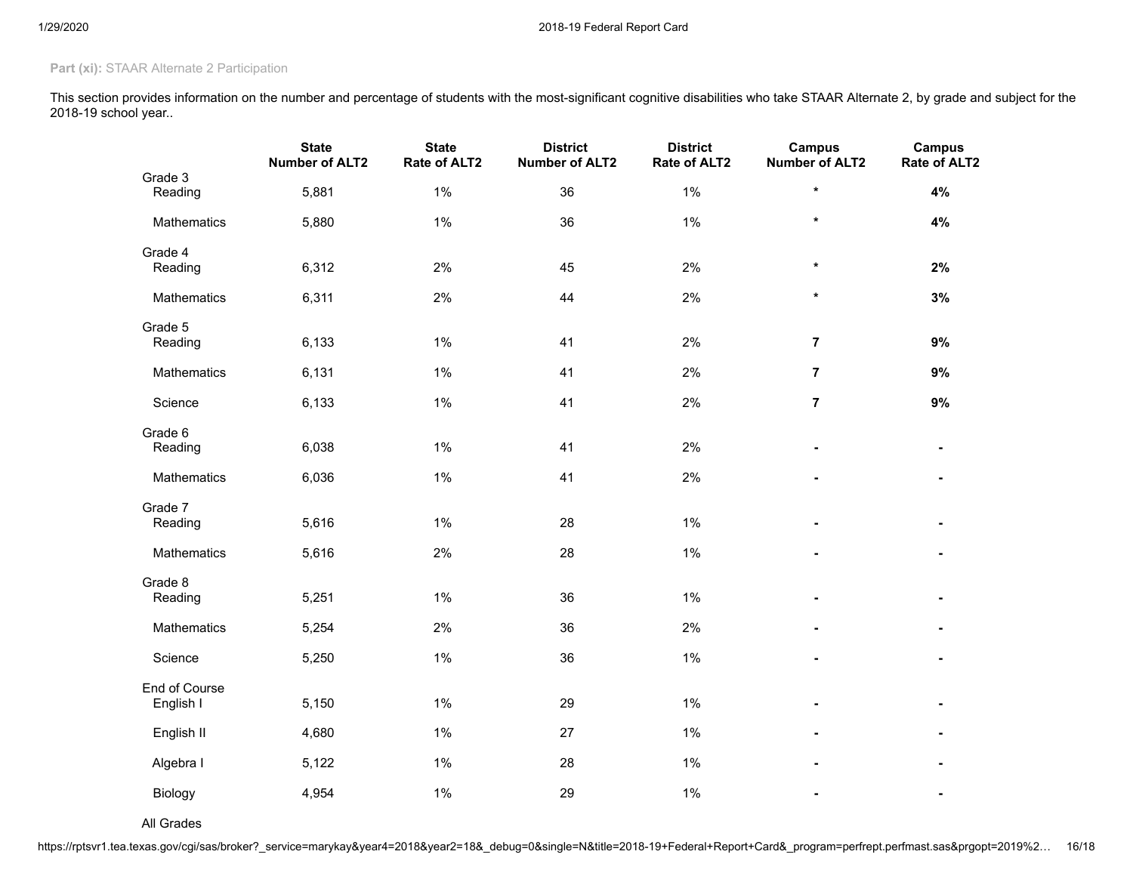# Part (xi): STAAR Alternate 2 Participation

This section provides information on the number and percentage of students with the most-significant cognitive disabilities who take STAAR Alternate 2, by grade and subject for the 2018-19 school year..

|                            | <b>State</b><br><b>Number of ALT2</b> | <b>State</b><br>Rate of ALT2 | <b>District</b><br><b>Number of ALT2</b> | <b>District</b><br>Rate of ALT2 | <b>Campus</b><br><b>Number of ALT2</b> | <b>Campus</b><br>Rate of ALT2 |
|----------------------------|---------------------------------------|------------------------------|------------------------------------------|---------------------------------|----------------------------------------|-------------------------------|
| Grade 3<br>Reading         | 5,881                                 | 1%                           | 36                                       | 1%                              | $\star$                                | 4%                            |
| Mathematics                | 5,880                                 | 1%                           | 36                                       | 1%                              | $\star$                                | 4%                            |
| Grade 4<br>Reading         | 6,312                                 | 2%                           | 45                                       | 2%                              | $\star$                                | 2%                            |
| Mathematics                | 6,311                                 | 2%                           | 44                                       | 2%                              | $\star$                                | 3%                            |
| Grade 5<br>Reading         | 6,133                                 | $1\%$                        | 41                                       | 2%                              | $\overline{\mathbf{r}}$                | 9%                            |
| Mathematics                | 6,131                                 | 1%                           | 41                                       | 2%                              | $\overline{7}$                         | 9%                            |
| Science                    | 6,133                                 | $1\%$                        | 41                                       | 2%                              | $\overline{7}$                         | 9%                            |
| Grade 6<br>Reading         | 6,038                                 | $1\%$                        | 41                                       | 2%                              | $\blacksquare$                         |                               |
| Mathematics                | 6,036                                 | $1\%$                        | 41                                       | 2%                              |                                        |                               |
| Grade 7<br>Reading         | 5,616                                 | 1%                           | 28                                       | 1%                              |                                        |                               |
| Mathematics                | 5,616                                 | 2%                           | 28                                       | 1%                              | ۰                                      |                               |
| Grade 8<br>Reading         | 5,251                                 | $1\%$                        | 36                                       | 1%                              | $\blacksquare$                         |                               |
| Mathematics                | 5,254                                 | 2%                           | 36                                       | 2%                              | $\blacksquare$                         |                               |
| Science                    | 5,250                                 | $1\%$                        | 36                                       | 1%                              |                                        |                               |
| End of Course<br>English I | 5,150                                 | 1%                           | 29                                       | 1%                              |                                        |                               |
| English II                 | 4,680                                 | 1%                           | $27\,$                                   | 1%                              | $\blacksquare$                         |                               |
| Algebra I                  | 5,122                                 | 1%                           | 28                                       | 1%                              | $\blacksquare$                         |                               |
| Biology                    | 4,954                                 | $1\%$                        | 29                                       | 1%                              |                                        |                               |

All Grades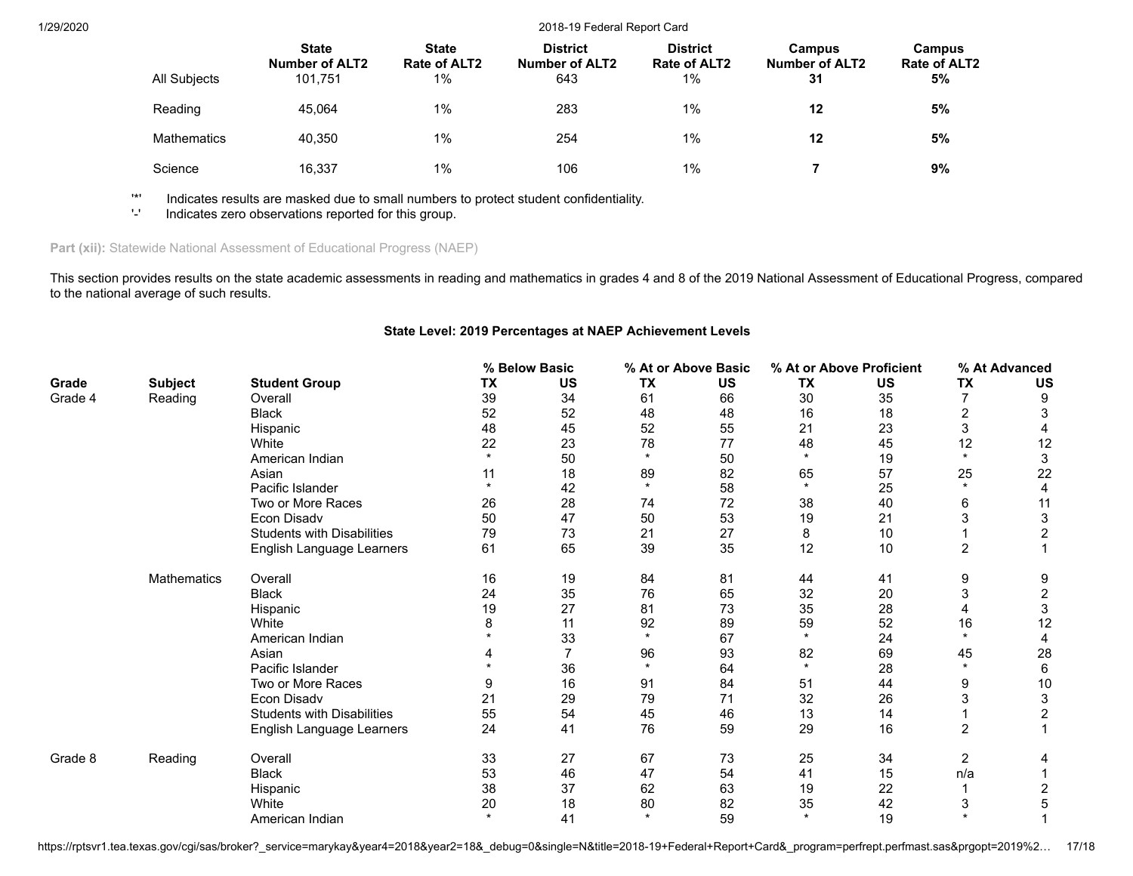| All Subjects       | <b>State</b><br><b>Number of ALT2</b><br>101.751 | <b>State</b><br>Rate of ALT2<br>$1\%$ | <b>District</b><br><b>Number of ALT2</b><br>643 | <b>District</b><br>Rate of ALT2<br>1% | <b>Campus</b><br><b>Number of ALT2</b><br>31 | Campus<br><b>Rate of ALT2</b><br>5% |
|--------------------|--------------------------------------------------|---------------------------------------|-------------------------------------------------|---------------------------------------|----------------------------------------------|-------------------------------------|
| Reading            | 45.064                                           | 1%                                    | 283                                             | $1\%$                                 | 12                                           | 5%                                  |
| <b>Mathematics</b> | 40.350                                           | 1%                                    | 254                                             | $1\%$                                 | 12                                           | 5%                                  |
| Science            | 16.337                                           | 1%                                    | 106                                             | $1\%$                                 |                                              | 9%                                  |

'\*' Indicates results are masked due to small numbers to protect student confidentiality.

Indicates zero observations reported for this group.

# Part (xii): Statewide National Assessment of Educational Progress (NAEP)

This section provides results on the state academic assessments in reading and mathematics in grades 4 and 8 of the 2019 National Assessment of Educational Progress, compared to the national average of such results.

# **State Level: 2019 Percentages at NAEP Achievement Levels**

|         |                |                                   |         | % Below Basic |           | % At or Above Basic |           | % At or Above Proficient |                | % At Advanced             |
|---------|----------------|-----------------------------------|---------|---------------|-----------|---------------------|-----------|--------------------------|----------------|---------------------------|
| Grade   | <b>Subject</b> | <b>Student Group</b>              | TX      | <b>US</b>     | <b>TX</b> | <b>US</b>           | <b>TX</b> | US                       | <b>TX</b>      | <b>US</b>                 |
| Grade 4 | Reading        | Overall                           | 39      | 34            | 61        | 66                  | 30        | 35                       | $\overline{7}$ | 9                         |
|         |                | <b>Black</b>                      | 52      | 52            | 48        | 48                  | 16        | 18                       | $\overline{2}$ | 3                         |
|         |                | Hispanic                          | 48      | 45            | 52        | 55                  | 21        | 23                       | 3              |                           |
|         |                | White                             | 22      | 23            | 78        | 77                  | 48        | 45                       | 12             | 12                        |
|         |                | American Indian                   | $\star$ | 50            | $\star$   | 50                  | $\star$   | 19                       | $\star$        | 3                         |
|         |                | Asian                             | 11      | 18            | 89        | 82                  | 65        | 57                       | 25             | 22                        |
|         |                | Pacific Islander                  |         | 42            | $\star$   | 58                  | $\star$   | 25                       | $\star$        | 4                         |
|         |                | Two or More Races                 | 26      | 28            | 74        | 72                  | 38        | 40                       | 6              | 11                        |
|         |                | Econ Disadv                       | 50      | 47            | 50        | 53                  | 19        | 21                       | 3              | 3                         |
|         |                | <b>Students with Disabilities</b> | 79      | 73            | 21        | 27                  | 8         | 10                       |                | $\overline{c}$            |
|         |                | English Language Learners         | 61      | 65            | 39        | 35                  | 12        | 10                       | $\overline{c}$ |                           |
|         | Mathematics    | Overall                           | 16      | 19            | 84        | 81                  | 44        | 41                       | 9              | 9                         |
|         |                | <b>Black</b>                      | 24      | 35            | 76        | 65                  | 32        | 20                       | 3              | $\sqrt{2}$                |
|         |                | Hispanic                          | 19      | 27            | 81        | 73                  | 35        | 28                       | 4              | 3                         |
|         |                | White                             | 8       | 11            | 92        | 89                  | 59        | 52                       | 16             | 12                        |
|         |                | American Indian                   |         | 33            | $\star$   | 67                  | $\star$   | 24                       | $\star$        |                           |
|         |                | Asian                             |         |               | 96        | 93                  | 82        | 69                       | 45             | 28                        |
|         |                | Pacific Islander                  |         | 36            | $\star$   | 64                  | $\star$   | 28                       | $\star$        | 6                         |
|         |                | Two or More Races                 | 9       | 16            | 91        | 84                  | 51        | 44                       | 9              | 10                        |
|         |                | Econ Disadv                       | 21      | 29            | 79        | 71                  | 32        | 26                       | 3              | $\ensuremath{\mathsf{3}}$ |
|         |                | <b>Students with Disabilities</b> | 55      | 54            | 45        | 46                  | 13        | 14                       |                | $\overline{\mathbf{c}}$   |
|         |                | English Language Learners         | 24      | 41            | 76        | 59                  | 29        | 16                       | $\overline{2}$ |                           |
| Grade 8 | Reading        | Overall                           | 33      | 27            | 67        | 73                  | 25        | 34                       | 2              | 4                         |
|         |                | <b>Black</b>                      | 53      | 46            | 47        | 54                  | 41        | 15                       | n/a            |                           |
|         |                | Hispanic                          | 38      | 37            | 62        | 63                  | 19        | 22                       |                | 2                         |
|         |                | White                             | 20      | 18            | 80        | 82                  | 35        | 42                       | 3              | 5                         |
|         |                | American Indian                   | $\star$ | 41            | $\star$   | 59                  | $\star$   | 19                       | $\star$        |                           |

https://rptsvr1.tea.texas.gov/cgi/sas/broker?\_service=marykay&year4=2018&year2=18&\_debug=0&single=N&title=2018-19+Federal+Report+Card&\_program=perfrept.perfmast.sas&prgopt=2019%2... 17/18